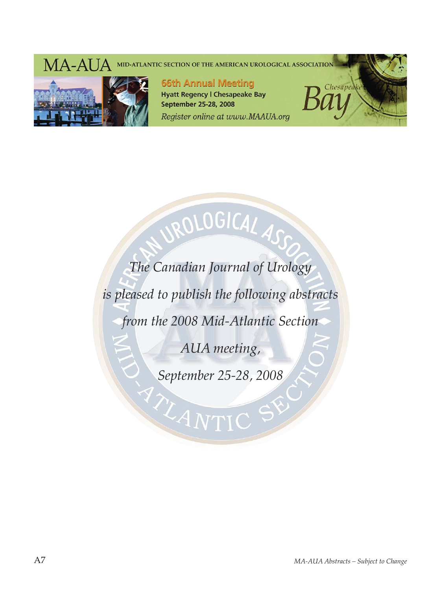# MA-AUA MID-ATLANTIC SECTION OF THE AMERICAN UROLOGICAL ASSOCIATION



**66th Annual Meeting Hyatt Regency | Chesapeake Bay September 25-28, 2008** Register online at www.MAAUA.org



*The Canadian Journal of Urology is pleased to publish the following abstracts from the 2008 Mid-Atlantic Section AUA meeting,* 

ROLOGICAL ASS

*September 25-28, 2008*

LANTIC SY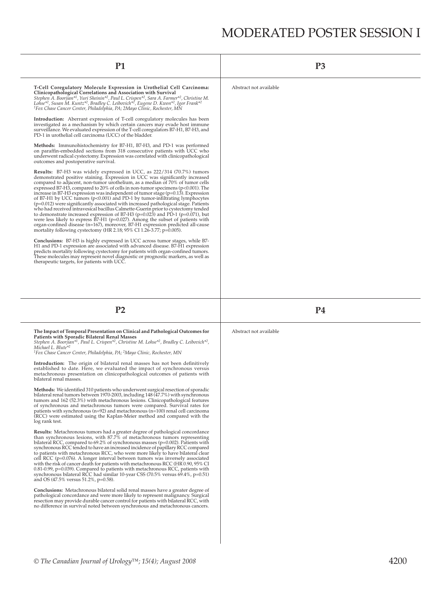# MODERATED POSTER SESSION I

| <b>P1</b>                                                                                                                                                                                                                                                                                                                                                                                                                                                                                                                                                                                                                                                                                                                                                                                                                                                                                                                                                                                                                         | P <sub>3</sub>         |
|-----------------------------------------------------------------------------------------------------------------------------------------------------------------------------------------------------------------------------------------------------------------------------------------------------------------------------------------------------------------------------------------------------------------------------------------------------------------------------------------------------------------------------------------------------------------------------------------------------------------------------------------------------------------------------------------------------------------------------------------------------------------------------------------------------------------------------------------------------------------------------------------------------------------------------------------------------------------------------------------------------------------------------------|------------------------|
| T-Cell Coregulatory Molecule Expression in Urothelial Cell Carcinoma:<br>Clinicopathological Correlations and Association with Survival<br>Stephen A. Boorjian* <sup>1</sup> , Yuri Sheinin* <sup>2</sup> , Paul L. Crispen* <sup>2</sup> , Sara A. Farmer <sup>*2</sup> , Christine M.<br>Lohse <sup>*2</sup> , Susan M. Kuntz <sup>*2</sup> , Bradley C. Leibovich <sup>*2</sup> , Eugene D. Kwon <sup>*2</sup> , Igor Frank <sup>*2</sup><br><sup>1</sup> Fox Chase Cancer Center, Philadelphia, PA; 2Mayo Clinic, Rochester, MN                                                                                                                                                                                                                                                                                                                                                                                                                                                                                               | Abstract not available |
| <b>Introduction:</b> Aberrant expression of T-cell coregulatory molecules has been<br>investigated as a mechanism by which certain cancers may evade host immune<br>surveillance. We evaluated expression of the T-cell coregulators B7-H1, B7-H3, and<br>PD-1 in urothelial cell carcinoma (UCC) of the bladder.                                                                                                                                                                                                                                                                                                                                                                                                                                                                                                                                                                                                                                                                                                                 |                        |
| Methods: Immunohistochemistry for B7-H1, B7-H3, and PD-1 was performed<br>on paraffin-embedded sections from 318 consecutive patients with UCC who<br>underwent radical cystectomy. Expression was correlated with clinicopathological<br>outcomes and postoperative survival.                                                                                                                                                                                                                                                                                                                                                                                                                                                                                                                                                                                                                                                                                                                                                    |                        |
| Results: B7-H3 was widely expressed in UCC, as 222/314 (70.7%) tumors<br>demonstrated positive staining. Expression in UCC was significantly increased<br>compared to adjacent, non-tumor urothelium, as a median of 70% of tumor cells<br>expressed B7-H3, compared to $20\%$ of cells in non-tumor specimens ( $p<0.001$ ). The<br>increase in B7-H3 expression was independent of tumor stage $(p=0.13)$ . Expression<br>of B7-H1 by UCC tumors $(p<0.001)$ and PD-1 by tumor-infiltrating lymphocytes<br>$(p=0.012)$ were significantly associated with increased pathological stage. Patients<br>who had received intravesical bacillus Calmette-Guerin prior to cystectomy tended<br>to demonstrate increased expression of B7-H3 ( $p=0.023$ ) and PD-1 ( $p=0.071$ ), but<br>were less likely to express B7-H1 ( $p=0.027$ ). Among the subset of patients with<br>organ-confined disease (n=167), moreover, B7-H1 expression predicted all-cause<br>mortality following cystectomy (HR 2.18; 95% CI 1.26-3.77; p=0.005). |                        |
| Conclusions: B7-H3 is highly expressed in UCC across tumor stages, while B7-<br>H1 and PD-1 expression are associated with advanced disease. B7-H1 expression<br>predicts mortality following cystectomy for patients with organ-confined tumors.<br>These molecules may represent novel diagnostic or prognostic markers, as well as<br>therapeutic targets, for patients with UCC.                                                                                                                                                                                                                                                                                                                                                                                                                                                                                                                                                                                                                                              |                        |
| P <sub>2</sub>                                                                                                                                                                                                                                                                                                                                                                                                                                                                                                                                                                                                                                                                                                                                                                                                                                                                                                                                                                                                                    | <b>P4</b>              |
| The Impact of Temporal Presentation on Clinical and Pathological Outcomes for<br>Patients with Sporadic Bilateral Renal Masses<br>Stephen A. Boorjian*1, Paul L. Crispen*2, Christine M. Lohse*2, Bradley C. Leibovich*2,<br>Michael L. Blute* <sup>2</sup><br><sup>1</sup> Fox Chase Cancer Center, Philadelphia, PA; <sup>2</sup> Mayo Clinic, Rochester, MN                                                                                                                                                                                                                                                                                                                                                                                                                                                                                                                                                                                                                                                                    | Abstract not available |
| Introduction: The origin of bilateral renal masses has not been definitively<br>established to date. Here, we evaluated the impact of synchronous versus<br>metachronous presentation on clinicopathological outcomes of patients with<br>bilateral renal masses.                                                                                                                                                                                                                                                                                                                                                                                                                                                                                                                                                                                                                                                                                                                                                                 |                        |
| Methods: We identified 310 patients who underwent surgical resection of sporadic<br>bilateral renal tumors between 1970-2003, including 148 (47.7%) with synchronous                                                                                                                                                                                                                                                                                                                                                                                                                                                                                                                                                                                                                                                                                                                                                                                                                                                              |                        |
| tumors and 162 (52.3%) with metachronous lesions. Clinicopathological features<br>of synchronous and metachronous tumors were compared. Survival rates for<br>patients with synchronous $(n=92)$ and metachronous $(n=100)$ renal cell carcinoma<br>(RCC) were estimated using the Kaplan-Meier method and compared with the<br>log rank test.                                                                                                                                                                                                                                                                                                                                                                                                                                                                                                                                                                                                                                                                                    |                        |
| <b>Results:</b> Metachronous tumors had a greater degree of pathological concordance<br>than synchronous lesions, with 87.7% of metachronous tumors representing<br>bilateral RCC, compared to $69.2\%$ of synchronous masses ( $p=0.002$ ). Patients with<br>synchronous RCC tended to have an increased incidence of papillary RCC compared<br>to patients with metachronous RCC, who were more likely to have bilateral clear<br>cell RCC ( $p=0.076$ ). A longer interval between tumors was inversely associated<br>with the risk of cancer death for patients with metachronous RCC (HR 0.90, 95% CI)<br>$0.81$ -0.99, p=0.039). Compared to patients with metachronous RCC, patients with<br>synchronous bilateral RCC had similar 10-year CSS $(70.5\%$ versus 69.4 $\%$ , p=0.51)<br>and OS (47.5% versus 51.2%, p=0.58).                                                                                                                                                                                                |                        |
| <b>Conclusions:</b> Metachronous bilateral solid renal masses have a greater degree of<br>pathological concordance and were more likely to represent malignancy. Surgical<br>resection may provide durable cancer control for patients with bilateral RCC, with<br>no difference in survival noted between synchronous and metachronous cancers.                                                                                                                                                                                                                                                                                                                                                                                                                                                                                                                                                                                                                                                                                  |                        |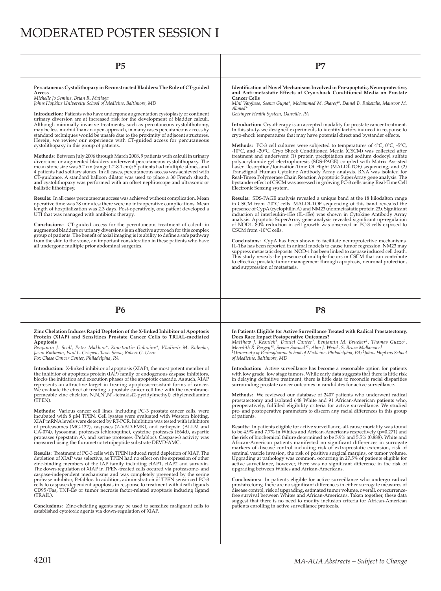# MODERATED POSTER SESSION I

**Percutaneous Cystolithopaxy in Reconstructed Bladders: The Role of CT-guided Access** *Michelle Jo Semins, Brian R. Matlaga* 

*Johns Hopkins University School of Medicine, Baltimore, MD*

**Introduction:** Patients who have undergone augmentation cystoplasty or continent urinary diversion are at increased risk for the development of bladder calculi.<br>Although minimally invasive treatments, such as percutaneous cystolithotomy,<br>may be less morbid than an open approach, in many cases percutane standard techniques would be unsafe due to the proximity of adjacent structures. Herein, we review our experience with CT-guided access for percutaneous cystolithopaxy in this group of patients.

**Methods:** Between July 2006 through March 2008, 9 patients with calculi in urinary diversions or augmented bladders underwent percutaneous cystolithopaxy. The mean stone size was 5.2 cm (range 1.2-8.1 cm); 5 patients had multiple stones, and 4 patients had solitary stones. In all cases, percutaneous access was achieved with CT-guidance. A standard balloon dilator was used to place a 30 French sheath, and cystolithopaxy was performed with an offset nephroscope and ultrasonic or ballistic lithotripsy.

**Results:** In all cases percutaneous access was achieved without complication. Mean<br>operative time was 78 minutes; there were no intraoperative complications. Mean<br>length of hospitalization was 2.3 days. Post-operatively, UTI that was managed with antibiotic therapy.

**Conclusions:** CT-guided access for the percutaneous treatment of calculi in augmented bladders or urinary diversions is an effective approach for this complex<br>group of patients. The benefit of axial imaging is its ability to define a safe pathway<br>from the skin to the stone, an important considerat all undergone multiple prior abdominal surgeries.

**P5 P7**

Identification of Novel Mechanisms Involved in Pro-apoptotic, Neuroprotective,<br>and Anti-metastatic Effects of Cryo-shock Conditioned Media on Prostate **Cancer Cells**

*Mini Varghese, Seema Gupta\*, Mohammed M. Shareef\*, Daniel B. Rukstalis, Mansoor M. Ahmed\** 

*Geisinger Health System, Danville, PA*

**Introduction:** Cryotherapy is an accepted modality for prostate cancer treatment. In this study, we designed experiments to identify factors induced in response to cryo-shock temperatures that may have potential direct and bystander effects.

**Methods:** PC-3 cell cultures were subjected to temperatures of 4°C, 0°C, -5°C, -10°C, and -20°C. Cryo Shock Conditioned Media (CSCM) was collected after<br>treatment and underwent (1) protein precipitation and sodium dodecyl sulfate<br>polyacrylamide gel electrophoresis (SDS-PAGE) coupled with Matrix Assis Laser Desorption/Ionization-Time Of Flight (MALDI-TOF) sequencing; and (2)<br>TransSignal Human Cytokine Antibody Array analysis. RNA was isolated for<br>Real-Timea Polymerase Chain Reaction Apoptotic SuperArray gene analysis. T bystander effect of CSCM was assessed in growing PC-3 cells using Real-Time Cell Electronic Sensing system.

Results: SDS-PAGE analysis revealed a unique band at the 18 kilodalton range<br>in CSCM from -20ºC cells. MALDI-TOF sequencing of this band revealed the<br>presence of CypA (cyclophilin A) and NM23 (nonmetastatic protein 23). Si induction of interleukin-1Éø (IL-1Éø) was shown in Cytokine Antibody Array analysis. Apoptotic SuperArray gene analysis revealed significant up-regulation<br>of NOD1. 80% reduction in cell growth was observed in PC-3 cells exposed to CSCM from -10°C cells.

**Conclusions:** CypA has been shown to facilitate neuroprotective mechanisms. IL-1Eø has been reported in animal models to cause tumor regression. NM23 may<br>suppress metastatic deposits. NOD-1 has been linked to caspase induced cell death.<br>This study reveals the presence of multiple factors in CSCM t and suppression of metastasis.

## **P6 P8**

**Zinc Chelation Induces Rapid Depletion of the X-linked Inhibitor of Apoptosis Protein (XIAP) and Sensitizes Prostate Cancer Cells to TRIAL-mediated Apoptosis**

Benjamin J. Scoll, Peter Makhov\*, Konstantin Golovine\*, Vladimir M. Kolenko,<br>Jason Rothman, Paul L. Crispen, Tavis Shaw, Robert G. Uzzo<br>Fox Chase Cancer Center, Philadelphia, PA

**Introduction:** X-linked inhibitor of apoptosis (XIAP), the most potent member of the inhibitor of apoptosis protein (IAP) family of endogenous caspase inhibitors, blocks the initiation and execution phases of the apoptotic cascade. As such, XIAP<br>represents an attractive target in treating apoptosis-resistant forms of cancer.<br>We evaluate the effect of treating a prostate cancer cell Permanents.<br>(TPEN).

**Methods:** Various cancer cell lines, including PC-3 prostate cancer cells, were incubated with 8 µM TPEN. Cell lysates were evaluated with Western blotting. XIAP mRNA levels were detected by RT-PCR. Inhibition was tested with inhibitors of proteasomes (MG-132), caspases (Z-VAD-FMK), and cathepsin (ALLM and<br>CA-074), lysosomal proteases (chloroquine), cysteine proteases (E64d), aspartic<br>proteases (pepstatin A), and serine proteases (Pefabloc). Caspase-3 act measured using the flurometric tetrapeptide substrate DEVD-AMC.

**Results:** Treatment of PC-3 cells with TPEN induced rapid depletion of XIAP. The depletion of XIAP was selective, as TPEN had no effect on the expression of other<br>zinc-binding members of the IAP family including cIAP1, cIAP2 and survivin.<br>The down-regulation of XIAP in TPEN-treated cells occured via pr caspase-independent mechanisms and was completely prevented by the serine<br>protease inhibitor, Pefabloc. In addition, administration of TPEN sensitized PC-3<br>cells to caspase-dependent apoptosis in response to treatment with CD95/Fas, TNF-Éø or tumor necrosis factor-related apoptosis inducing ligand  $(TRAII.)$ 

**Conclusions:** Zinc-chelating agents may be used to sensitize malignant cells to established cytotoxic agents via down-regulation of XIAP.

**In Patients Eligible for Active Surveillance Treated with Radical Prostatectomy, Does Race Impact Postoperative Outcomes?**

Matthew J. Resnick<sup>1</sup>, Daniel Canter<sup>1</sup>, Benjamin M. Brucker<sup>1</sup>, Thomas Guzzo<sup>2</sup>,<br>Meredith R.Bergey<sup>s1</sup>, Seema Sonnat<sup>al</sup>, Alan J. Wein<sup>1</sup>, S. Bruce Malkowicz<sup>1</sup><br><sup>1</sup>University of Pennsylvania School of Medicine, Philadelph *of Medicine, Baltimore, MD*

**Introduction:** Active surveillance has become a reasonable option for patients with low grade, low stage tumors. While early data suggests that there is little risk in delaying definitive treatment, there is little data to reconcile racial disparities<br>surrounding prostate cancer outcomes in candidates for active surveillance.

**Methods:** We reviewed our database of 2407 patients who underwent radical<br>prostatectomy and isolated 648 White and 91 African-American patients who,<br>preoperatively, fulfilled eligibility criteria for active surveillance. pre- and postoperative parameters to discern any racial differences in this group of patients.

**Results:** In patients eligible for active surveillance, all-cause mortality was found<br>to be 4.9% and 7.7% in Whites and African-Americans respectively (p=0.271) and<br>the risk of biochemical failure determined to be 5.9% an African-American patients manifested no significant differences in surrogate<br>markers of disease control including risk of extraprostatic extension, risk of<br>seminal vesicle invasion, the risk of positive surgical margins, o Upgrading at pathology was common, occurring in 27.5% of patients eligible for<br>active surveillance, however, there was no significant difference in the risk of upgrading between Whites and African-Americans.

**Conclusions:** In patients eligible for active surveillance who undergo radical prostatectomy, there are no significant differences in either surrogate measures of disease control, risk of upgrading, estimated tumor volume patients enrolling in active surveillance protocols.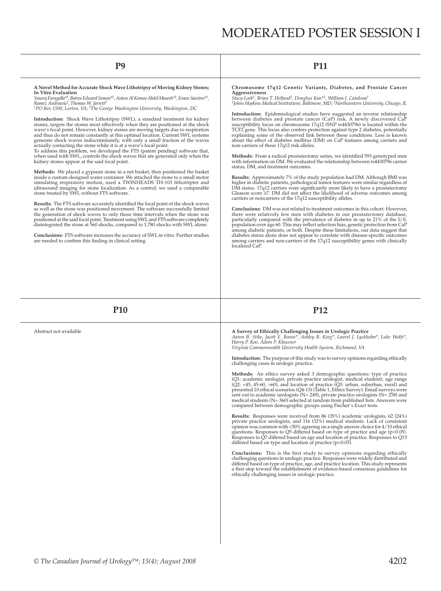**A Novel Method for Accurate Shock Wave Lithotripsy of Moving Kidney Stones; In Vitro Evaluation** 

Yousry Faragalla\*<sup>1</sup>, Botros Edward Semon\*<sup>1</sup>, Anton Al Komos Abdel Maseeh\*<sup>1</sup>, Eman Sawires\*<sup>1</sup>,<br>Ramez Andrawis<sup>2</sup>, Thomas W. Jarrett<sup>2</sup><br><sup>1</sup>PO Box 1500, Lorton, VA; <sup>2</sup>The George Washington University, Washington, DC

**Introduction:** Shock Wave Lithotripsy (SWL), a standard treatment for kidney stones, targets the stones most effectively when they are positioned at the shock wave's focal point. However, kidney stones are moving targets due to respiration and thus do not remain constantly at this optimal location. Current SWL systems<br>generate shock waves indiscriminately, with only a small fraction of the waves<br>actually contacting the stone while it is at a wave's focal poi

To address this problem, we developed the FTS (patent pending) software that, when used with SWL, controls the shock waves that are generated only when the kidney stones appear at the said focal point.

**Methods:** We placed a gypsum stone in a net basket, then positioned the basket inside a custom-designed water container. We attached the stone to a small motor simulating respiratory motion, used a TWINHEADS TH-103 lithotripter and ultrasound imaging for stone localization. As a control, we used a comparable stone treated by SWL without FTS software.

**Results:** The FTS software accurately identified the focal point of the shock waves<br>as well as the stone was positioned movement. The software successfully limited the generation of shock waves to only those time intervals when the stone was positioned at the said focal point. Treatment using SWL and FTS software completely disintegrated the stone at 560 shocks, compared to 1,780 shocks with SWL alone.

**Conclusions:** FTS software increases the accuracy of SWL in vitro. Further studies are needed to confirm this finding in clinical setting.

## **P9 P11**

**Chromosome 17q12 Genetic Variants, Diabetes, and Prostate Cancer Aggressiveness**

*Stacy Loeb1, Brian T. Helfand2, Donghui Kan\*2, William J. Catalona2 1Johns Hopkins Medical Institutions, Baltimore, MD; 2Northwestern University, Chicago, IL*

**Introduction:** Epidemiological studies have suggested an inverse relationship between diabetes and prostate cancer (CaP) risk. A newly discovered CaP susceptibility locus on chromosome 17q12 (SNP rs4430796) is located within the TCF2 gene. This locus also confers protection against type 2 diabetes, potentially explaining some of the observed link between these conditions. Less is known about the effect of diabetes mellitus (DM) on CaP features among carriers and non-carriers of these 17q12 risk alleles.

**Methods:** From a radical prostatectomy series, we identified 593 genotyped men<br>with information on DM. We evaluated the relationship between rs4430796 carrier status, DM, and treatment outcomes.

**Results:** Approximately 7% of the study population had DM. Although BMI was higher in diabetic patients, pathological tumor features were similar regardless of<br>DM status. 17q12 carriers were significantly more likely to have a prostatectomy<br>Gleason score ≥7. DM did not affect the likelihood of ad carriers or noncarriers of the 17q12 susceptibility alleles.

**Conclusions:** DM was not related to treatment outcomes in this cohort. However, there were relatively few men with diabetes in our prostatectomy database, particularly compared with the prevalence of diabetes in up to 21% of the U.S.<br>population over age 60. This may reflect selection bias, genetic protection from CaP among diabetic patients, or both. Despite these limitations, our data suggest that diabetes status alone does not appear to correlate with disease-specific outcomes<br>among carriers and non-carriers of the 17q12 susceptibility genes with clinically localized CaP.

| <b>P10</b>             | P <sub>12</sub>                                                                                                                                                                                                                                                                                                                                                                                                                                                                                                                                                                                      |
|------------------------|------------------------------------------------------------------------------------------------------------------------------------------------------------------------------------------------------------------------------------------------------------------------------------------------------------------------------------------------------------------------------------------------------------------------------------------------------------------------------------------------------------------------------------------------------------------------------------------------------|
| Abstract not available | A Survey of Ethically Challenging Issues in Urologic Practice<br>Aaron B. Stike, Jacob E. Boone*, Ashley B. King*, Laurel J. Lyckholm*, Luke Wolfe*,<br>Harry P. Koo, Adam P. Klausner<br>Virginia Commonwealth University Health System, Richmond, VA                                                                                                                                                                                                                                                                                                                                               |
|                        | <b>Introduction:</b> The purpose of this study was to survey opinions regarding ethically<br>challenging cases in urologic practice.                                                                                                                                                                                                                                                                                                                                                                                                                                                                 |
|                        | <b>Methods:</b> An ethics survey asked 3 demographic questions: type of practice<br>(Q1: academic urologist, private practice urologist, medical student), age range (Q2: <45, 45-60, >60), and location of practice (Q3: urban, suburban, rural) and<br>presented 10 ethical scenarios (Q4-13) (Table 1, Ethics Survey). Email surveys were<br>sent out to academic urologists ( $N = 249$ ), private practice urologists ( $N = 258$ ) and<br>medical students $(N=360)$ selected at random from published lists. Answers were<br>compared between demographic groups using Fischer's Exact tests. |
|                        | Results: Responses were received from 86 (35%) academic urologists, 62 (24%)<br>private practice urologists, and 116 (32%) medical students. Lack of consistent<br>opinion was common with <50% agreeing on a single answer choice for 4/10 ethical<br>questions. Responses to $Q5$ differed based on type of practice and age ( $p<0.05$ ).<br>Responses to Q7 differed based on age and location of practice. Responses to Q13<br>differed based on type and location of practice (p<0.05).                                                                                                        |
|                        | <b>Conclusions:</b> This is the first study to survey opinions regarding ethically<br>challenging questions in urologic practice. Responses were widely distributed and<br>differed based on type of practice, age, and practice location. This study represents<br>a first step toward the establishment of evidence-based consensus guidelines for<br>ethically challenging issues in urologic practice.                                                                                                                                                                                           |
|                        |                                                                                                                                                                                                                                                                                                                                                                                                                                                                                                                                                                                                      |
|                        |                                                                                                                                                                                                                                                                                                                                                                                                                                                                                                                                                                                                      |
|                        |                                                                                                                                                                                                                                                                                                                                                                                                                                                                                                                                                                                                      |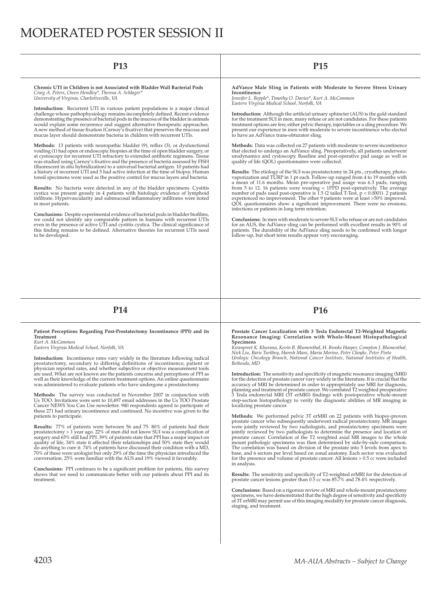# MODERATED POSTER SESSION II

**Chronic UTI in Children is not Associated with Bladder Wall Bacterial Pods** *Craig A. Peters, Owen Hendley\*, Theresa A. Schlager\* University of Virginia, Charlottesville, VA*

**Introduction:** Recurrent UTI in various patient populations is a major clinical<br>challenge whose pathophysiology remains incompletely defined. Recent evidence demonstrating the presence of bacterial pods in the mucosa of the bladder in animals would explain some recurrence and suggest alternative therapeutic approaches.<br>A new method of tissue fixation (Carnoy's fixative) that preserves the mucosa and mucus layer should demonstrate bacteria in children with recurrent UTIs.

Methods: 13 patients with neuropathic bladder (9), reflux (3), or dysfunctional voiding (1) had open or endoscopic biopsies at the time of open bladder surgery, or<br>at cystoscopy for recurrent UTI refractory to extended antibiotic regimens. Tissue<br>was studied using Carnoy's fixative and the presence of (fluorescent in situ hybridization) to a universal bacterial antigen. 10 patients had<br>a history of recurrent UTI and 5 had active infection at the time of biopsy. Human<br>tonsil specimens were used as the positive control fo

**Results:** No bacteria were detected in any of the bladder specimens. Cystitis cystica was present grossly in 4 patients with histologic evidence of lymphoid infiltrate. Hypervascularity and submucosal inflammatory infiltrates were noted in most patients.

Conclusions: Despite experimental evidence of bacterial pods in bladder biofilms, we could not identify any comparable pattern in humans with recurrent UTIs<br>even in the presence of active UTI and cystitis cystica. The clinical significance of this finding remains to be defined. Alternative theories for recurrent UTIs need to be developed.

## **P13 P15**

**AdVance Male Sling in Patients with Moderate to Severe Stress Urinary Incontinence** *Jennifer L. Bepple\*, Timothy O. Davies\*, Kurt A. McCammon* 

*Eastern Virginia Medical School, Norfolk, VA*

Introduction: Although the artificial urinary sphincter (AUS) is the gold standard for the treatment SUI in men, many refuse or are not candidates. For these patients<br>treatment options are few, either pelvic therapy, injectables or a sling procedure. We<br>present our experience in men with moderate to seve to have an AdVance trans-obturator sling.

**Methods:** Data was collected on 27 patients with moderate to severe incontinence that elected to undergo an AdVance sling. Preoperatively, all patients underwent urodynamics and cystoscopy. Baseline and post-operative pad usage as well as quality of life (QOL) questionnaires were collected.

**Results:** The etiology of the SUI was prostatectomy in 24 pts., cryotherapy, photo-vaporization and TURP in 1 pt each. Follow-up ranged from 4 to 19 months with a mean of 11.6 months. Mean pre-operative pad usage was 6.3 pads, ranging<br>from 5 to 12. 16 patients were wearing < 1PPD post-operatively. The average<br>number of pads used post-operative is 1.5 (2 tailed T-Test, p < 0.0001). QOL questionnaires show a significant improvement. There were no erosions, infections or patients in long term retention.

**Conclusions:** In men with moderate to severe SUI who refuse or are not candidates<br>for an AUS, the AdVance sling can be performed with excellent results in 90% of<br>patients. The durability of the AdVance sling needs to be c

## **P14 P16**

### **Patient Perceptions Regarding Post-Prostatectomy Incontinence (PPI) and its Treatment** *Kurt A. McCammon*

*Eastern Virginia Medical School, Norfolk, VA*

**Introduction:** Incontinence rates vary widely in the literature following radical prostatectomy, secondary to differing definitions of incontinence; patient or<br>physician reported rates, and whether subjective or objective measurement tools are used. What are not known are the patients concerns and perceptions of PPI as well as their knowledge of the current treatment options. An online questionnaire was administered to evaluate patients who have undergone a prostatectomy.

**Methods:** The survey was conducted in November 2007 in conjunction with<br>Us TOO. Invitations were sent to 10,497 email addresses in the Us TOO Prostate<br>Cancer NEWS You Can Use newsletter. 940 respondents agreed to particip these 271 had urinary incontinence and continued. No incentive was given to the patients to participate.

**Results:** 77% of patients were between 56 and 75. 80% of patients had their<br>prostatectomy > 1 year ago. 22% of men did not know SUI was a complication of<br>surgery and 65% still had PPI. 39% of patients state that PPI has a quality of life, 34% state it affected their relationships and 50% state they would<br>do anything to cure it. 74% of patients have discussed their condition with a MD,<br>70% of these were urologist but only 29% of the time the conversation. 25% were familiar with the AUS and 19% viewed it favorably.

**Conclusions:** PPI continues to be a significant problem for patients, this survey shows that we need to communicate better with our patients about PPI and its treatment.

### **Prostate Cancer Localization with 3 Tesla Endorectal T2-Weighted Magnetic Resonance Imaging: Correlation with Whole-Mount Histopathological Specimens**

*Kiranpreet K. Khurana, Kevin B. Blumenthal, H. Brooks Hooper, Compton J. Blumenthal, Nick Liu, Baris Turkbey, Haresh Mani, Maria Merino, Peter Choyke, Peter Pinto Urologic Oncology Branch, National Cancer Institute, National Institutes of Health, Bethesda, MD*

**Introduction:** The sensitivity and specificity of magnetic resonance imaging (MRI) for the detection of prostate cancer vary widely in the literature. It is crucial that the<br>accuracy of MRI be determined in order to appropriately use MRI for diagnosis,<br>planning and treatment of prostate cancer. We correl 3 Tesla endorectal MRI (3T erMRI) findings with postoperative whole-mount<br>step-section histopathology to verify the diagnostic abilities of MR imaging in localizing prostate cancer.

**Methods:** We performed pelvic 3T erMRI on 22 patients with biopsy-proven prostate cancer who subsequently underwent radical prostatectomy. MR images were jointly reviewed by two radiologists, and prostatectomy specimens were<br>jointly reviewed by two pathologists to determine the presence and location of<br>prostate cancer. Correlation of the T2 weighted axial MR images to mount pathologic specimens was then determined by side-by-side comparison.<br>The correlation was based on division of the prostate into 5 levels from apex to<br>base, and 6 sectors per level based on zonal anatomy. Each sector for the presence and volume of prostate cancer. All lesions > 0.5 cc were included in analysis.

**Results:** The sensitivity and specificity of T2-weighted erMRI for the detection of prostate cancer lesions greater than 0.5 cc was 85.7% and 78.4% respectively.

**Conclusions:** Based on a rigorous review of MRI and whole-mount prostatectomy specimens, we have demonstrated that the high degree of sensitivity and specificity<br>of 3T erMRI may permit use of this imaging modality for prostate cancer diagnosis, staging, and treatment.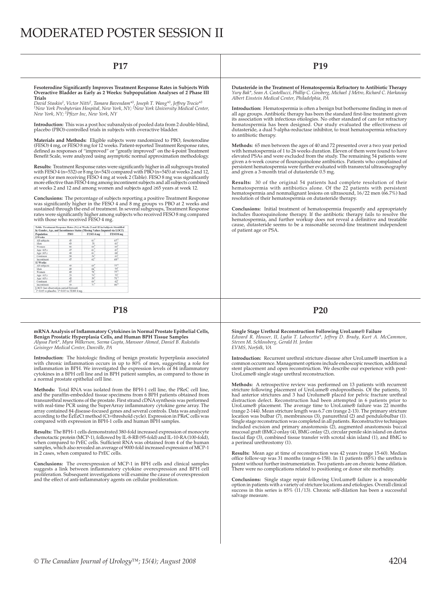# MODERATED POSTER SESSION II

## **P17 P19**

### Fesoterodine Significantly Improves Treatment Response Rates in Subjects With<br>Overactive Bladder as Early as 2 Weeks: Subpopulation Analyses of 2 Phase III **Trials**

*David Staskin1, Victor Nitti2, Tamara Bavendam\*3, Joseph T. Wang\*3, Jeffrey Trocio\*3 1New York Presbyterian Hospital, New York, NY; 2New York University Medical Center, New York, NY; 3Pfi zer Inc, New York, NY*

**Introduction:** This was a post hoc subanalysis of pooled data from 2 double-blind, placebo (PBO)-controlled trials in subjects with overactive bladder.

**Materials and Methods:** Eligible subjects were randomized to PBO, fesoterodine (FESO) 4 mg, or FESO 8 mg for 12 weeks. Patient-reported Treatment Response rates, defined as responses of "improved" or "greatly improved" on the 4-point Treatment<br>Benefit Scale, were analyzed using asymptotic normal approximation methodology.

**Results:** Treatment Response rates were significantly higher in all subgroups treated<br>with FESO 4 (n=532) or 8 mg (n=543) compared with PBO (n=545) at weeks 2 and 12,<br>except for men receiving FESO 4 mg at week 2 (Table). more effective than FESO 4 mg among incontinent subjects and all subjects combined at weeks 2 and 12 and among women and subjects aged ≥65 years at week 12.

**Conclusions:** The percentage of subjects reporting a positive Treatment Response<br>was significantly higher in the FESO 4 and 8 mg groups vs PBO at 2 weeks and<br>sustained through the end of treatment. In several subgroups, T rates were significantly higher among subjects who received FESO 8 mg compared with those who received FESO 4 mg

| Population      | <b>PRO</b> | FESO 4 mg       | <b>FESO 8 mg</b>  |
|-----------------|------------|-----------------|-------------------|
| 2 Weeks         |            |                 |                   |
| All subjects    | 45         | 61              | $67$ <sup>7</sup> |
| Men             | 43         | 51              | 61                |
| Women:          | b6         | 64              | 69                |
| Age $-65y$      | 47         | 61              | $67$ <sup>*</sup> |
| Apr $265$ v     | 40         | 61              | 68                |
| Continent       | 38         | 56              | 61                |
| Incontinent     | 47         | 62              | $69 -$            |
| 12 Weeks        |            |                 |                   |
| All subjects    | 49         | 69              | 77"               |
| Men             | 49         | 66              | $75^{\circ}$      |
| Women.          | 49         | 70              | 77"               |
| Арг ≤65 у       | 53         | 74              | 79                |
| Age $\geq 65$ y | 42         | 50 <sup>o</sup> | $71$ <sup>*</sup> |
| Continent       | 47         | 64              | $62^{7}$          |
| Incontinent     | 50         | 71              | 80 <sup>7</sup>   |

## **P18 P20**

mRNA Analysis of Inflammatory Cytokines in Normal Prostate Epithelial Cells,<br>Benign Prostatic Hyperplasia Cells, and Human BPH Tissue Samples<br>*Alyssa Park\*, Myra Wilkerson, Seema Gupta, Mansoor Ahmed, Daniel B. Rukstalis Geisinger Medical Center, Danville, PA*

**Introduction:** The histologic finding of benign prostatic hyperplasia associated<br>with chronic inflammation occurs in up to 80% of men, suggesting a role for<br>inflammation in BPH. We investigated the expression levels of 84 cytokines in a BPH cell line and in BPH patient samples, as compared to those in a normal prostate epithelial cell line.

**Methods:** Total RNA was isolated from the BPH-1 cell line, the PReC cell line, and the paraffin-embedded tissue specimens from 6 BPH patients obtained from<br>transurethral resections of the prostate. First strand cDNA synthesis was performed<br>with real-time PCR using the SuperArray inflammatory cytokine array contained 84 disease-focused genes and several controls. Data was analyzed according to the ɢɢCt method (Ct=threshold cycle). Expression in PReC cells was compared with expression in BPH-1 cells and human BPH samples.

**Results:** The BPH-1 cells demonstrated 380-fold increased expression of monocyte chemotactic protein (MCP-1), followed by IL-8-RB (95-fold) and IL-10-RA (100-fold), when compared to PrEC cells. Sufficient RNA was obtained from 4 of the human<br>samples, which also revealed an average of 9000-fold increased expression of MCP-1<br>in 2 cases, when compared to PrEC cells.

**Conclusions:** The overexpression of MCP-1 in BPH cells and clinical samples<br>suggests a link between inflammatory cytokine overexpression and BPH cell proliferation. Subsequent investigations will examine the cause of overexpression and the effect of anti-inflammatory agents on cellular proliferation.

**Dutasteride in the Treatment of Hematospermia Refractory to Antibiotic Therapy** *Yury Bak\*, Sean A. Castellucci, Phillip C. Ginsberg, Michael .J Metro, Richard C. Harkaway Albert Einstein Medical Center, Philadelphia, PA*

Introduction: Hematospermia is often a benign but bothersome finding in men of all age groups. Antibiotic therapy has been the standard first-line treatment given its association with infectious etiologies. No other standard of care for refractory<br>hematospermia has been designed. Our study evaluated the effectiveness of<br>dutasteride, a dual 5-alpha-reductase inhibitor, to treat hemat to antibiotic therapy.

**Methods:** 65 men between the ages of 40 and 72 presented over a two year period with hematospermia of 1 to 26 weeks duration. Eleven of them were found to have elevated PSAs and were excluded from the study. The remaining 54 patients were<br>given a 6-week course of flouroquinolone antibiotics. Patients who complained of persistent hematospermia were further evaluated with transrectal ultrasonography and given a 3-month trial of dutasteride 0.5 mg.

Results: 30 of the original 54 patients had complete resolution of their<br>hematospermia with antibiotics alone. Of the 22 patients with persistent<br>hematospermia and nonmalignant lesions on ultrasound, 16/22 men (66.7%) had resolution of their hematospermia on dutasteride therapy.

**Conclusions:** Initial treatment of hematospermia frequently and appropriately includes fluoroquinolone therapy. If the antibiotic therapy fails to resolve the hematospermia, and further workup does not reveal a definitive and treatable<br>cause, dutasteride seems to be a reasonable second-line treatment independent of patient age or PSA.

**Single Stage Urethral Reconstruction Following UroLume® Failure** *Edward R. Houser, II, Lydia T. Labocetta\*, Jeffrey D. Brady, Kurt A. McCammon, Steven M. Schlossberg, Gerald H. Jordan EVMS, Norfolk, VA*

**Introduction:** Recurrent urethral stricture disease after UroLume® insertion is a common occurrence. Management options include endoscopic resection, additional stent placement and open reconstruction. We describe our experience with post-UroLume® single stage urethral reconstruction.

**Methods:** A retrospective review was performed on 13 patients with recurrent stricture following placement of UroLume® endoprosthesis. Of the patients, 10<br>had anterior strictures and 3 had Urolume® placed for pelvic fracture urethral<br>distraction defect. Reconstruction had been attempted in 6 patien included excision and primary anastomosis (2), augmented anastomosis buccal<br>mucosal graft (BMG) onlay (4), BMG onlay (2), circular penile skin island on dartos<br>fascial flap (3), combined tissue transfer with scrotal skin i a perineal urethrostomy (1).

**Results:** Mean age at time of reconstruction was 42 years (range 15-60). Median office follow-up was 31 months (range 6-158). In 11 patients  $(85\%)$  the urethra is patent without further instrumentation. Two patients are on chronic home dilation. There were no complications related to positioning or donor site morbidity.

**Conclusions:** Single stage repair following UroLume® failure is a reasonable option in patients with a variety of stricture locations and etiologies. Overall clinical success in this series is 85% (11/13). Chronic self-dilation has been a successful salvage measure.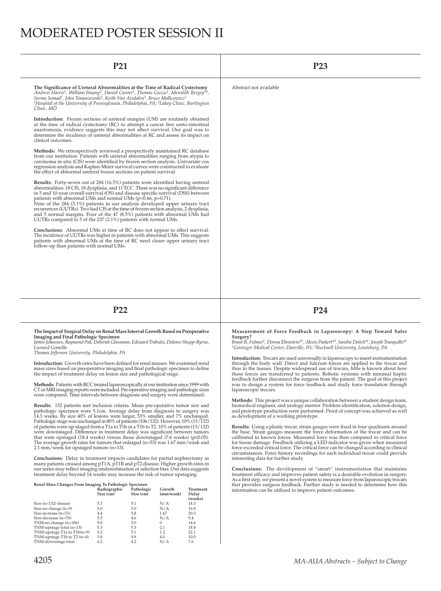# MODERATED POSTER SESSION II

| P <sub>21</sub>                                                                                                                                                                                                                                                                                                                                                                                                                                                                                                                                                                                                                                                   | P <sub>23</sub>                                                                                                                                                                                                                                                                                                                                      |
|-------------------------------------------------------------------------------------------------------------------------------------------------------------------------------------------------------------------------------------------------------------------------------------------------------------------------------------------------------------------------------------------------------------------------------------------------------------------------------------------------------------------------------------------------------------------------------------------------------------------------------------------------------------------|------------------------------------------------------------------------------------------------------------------------------------------------------------------------------------------------------------------------------------------------------------------------------------------------------------------------------------------------------|
| The Significance of Ureteral Abnormalities at the Time of Radical Cystectomy<br>Andrew Harris <sup>1</sup> , William Huang <sup>2</sup> , Daniel Canter <sup>1</sup> , Thomas Guzzo <sup>1</sup> , Meredith Bergey <sup>*1</sup> ,<br>Seema Somad <sup>1</sup> , John Tomaszewski <sup>1</sup> , Keith Van Arsdalen <sup>1</sup> , Bruce Malkcowicz <sup>1</sup><br><sup>1</sup> Hospital of the University of Pennsylvania, Philadelphia, PA; <sup>2</sup> Lahey Clinic, Burlington<br>Clinic, MD                                                                                                                                                                | Abstract not available                                                                                                                                                                                                                                                                                                                               |
| Introduction: Frozen sections of ureteral margins (UM) are routinely obtained<br>at the time of radical cystectomy (RC) to attempt a cancer free ureto-intestinal<br>anastomosis, evidence suggests this may not affect survival. Our goal was to<br>determine the incidence of ureteral abnormalities at RC and assess its impact on<br>clinical outcomes.                                                                                                                                                                                                                                                                                                       |                                                                                                                                                                                                                                                                                                                                                      |
| <b>Methods:</b> We retrospectively reviewed a prospectively maintained RC database<br>from our institution. Patients with ureteral abnormalities ranging from atypia to<br>carcinoma in-situ (CIS) were identified by frozen section analysis. Univariate cox<br>regression analysis and Kaplan-Meier survival curves were constructed to evaluate<br>the effect of abnormal ureteral frozen sections on patient survival.                                                                                                                                                                                                                                        |                                                                                                                                                                                                                                                                                                                                                      |
| <b>Results:</b> Forty-seven out of 284 (16.5%) patients were identified having ureteral<br>abnormalities: 18 CIS, 18 dysplasia, and 11 TCC. There was no significant difference<br>in 5 and 10-year overall survival (OS) and disease specific survival (DSS) between<br>patients with abnormal UMs and normal UMs (p=0.66, p=0.71).<br>Nine of the $284$ (3.1%) patients in our analysis developed upper urinary tract<br>recurrences (UUTRs). Two had CIS at the time of frozen section analysis, 2 dysplasia,<br>and 5 normal margins. Four of the 47 (8.5%) patients with abnormal UMs had<br>UUTRs compared to 5 of the 237 (2.1%) patients with normal UMs. |                                                                                                                                                                                                                                                                                                                                                      |
| <b>Conclusions:</b> Abnormal UMs at time of RC does not appear to effect survival.<br>The incidence of UUTRs was higher in patients with abnormal UMs. This suggests<br>patients with abnormal UMs at the time of RC need closer upper urinary tract<br>follow-up than patients with normal UMs.                                                                                                                                                                                                                                                                                                                                                                  |                                                                                                                                                                                                                                                                                                                                                      |
|                                                                                                                                                                                                                                                                                                                                                                                                                                                                                                                                                                                                                                                                   |                                                                                                                                                                                                                                                                                                                                                      |
|                                                                                                                                                                                                                                                                                                                                                                                                                                                                                                                                                                                                                                                                   |                                                                                                                                                                                                                                                                                                                                                      |
| P22                                                                                                                                                                                                                                                                                                                                                                                                                                                                                                                                                                                                                                                               | P <sub>24</sub>                                                                                                                                                                                                                                                                                                                                      |
| The Impact of Surgical Delay on Renal Mass Interval Growth Based on Preoperative<br>Imaging and Final Pathologic Specimen<br>James Johannes, Raymond Pak, Deborah Glassman, Edouard Trabulsi, Dolores Shupp-Byrne,<br>Leonard Gomella<br>Thomas Jefferson University, Philadelphia, PA                                                                                                                                                                                                                                                                                                                                                                            | Measurement of Force Feedback in Laparoscopy: A Step Toward Safer<br>Surgery?<br>Brant R. Fulmer <sup>1</sup> , Donna Ebenstein <sup>*2</sup> , Alexis Paskert <sup>*2</sup> , Sandra Deitch <sup>*1</sup> , Joseph Tranquillo <sup>*2</sup><br><sup>1</sup> Geisinger Medical Center, Danville, PA; <sup>2</sup> Bucknell University, Lewisburg, PA |
|                                                                                                                                                                                                                                                                                                                                                                                                                                                                                                                                                                                                                                                                   | Introduction: Tracare are used universally in laparoscopy to insert instrumentation                                                                                                                                                                                                                                                                  |

**Introduction:** Growth rates have been defined for renal masses. We examined renal mass sizes based on preoperative imaging and final pathologic specimen to define<br>the impact of treatment delay on lesion size and pathological stage.

**Methods:** Patients with RCC treated laparoscopically at our institution since 1999 with CT or MRI imaging reports were included. Pre-operative imaging and pathologic sizes were compared. Time intervals between diagnosis and surgery were determined.

**Results:** 132 patients met inclusion criteria. Mean pre-operative tumor size and pathologic specimen were 5.1cm. Average delay from diagnosis to surgery was 14.3 weeks. By size 40% of lesions were larger, 53% smaller, and 7% unchanged. Pathologic stage was unchanged in 80% of patients (106/132). However, 10% (13/132) of patients were up-staged from a T1a to T1b or a T1b to T2. 10% of patients (13/132)<br>were downstaged. Difference in treatment delay was significant between tumors<br>that were upstaged (18.4 weeks) versus those downstaged ( The average growth rates for tumors that enlarged (n=53) was 1.67 mm/week and 2.1 mm/week for upstaged tumors (n=13).

**Conclusions:** Delay in treatment impacts candidates for partial nephrectomy as<br>many patients crossed among pT1A, pT1B and pT2 disease. Higher growth rates in<br>our series may reflect imaging underestimation or selection bia treatment delay beyond 14 weeks may increase the risk of tumor upstaging.

| Renal Mass Changes From Imaging To Pathologic Specimen |              |            |           |           |  |  |  |  |
|--------------------------------------------------------|--------------|------------|-----------|-----------|--|--|--|--|
|                                                        | Radiographic | Pathologic | Growth    | Treatment |  |  |  |  |
|                                                        | Size (cm)    | Size (cm)  | (mm/week) | Delay     |  |  |  |  |
|                                                        |              |            |           | (weeks)   |  |  |  |  |
| Size $(n=132)$ (mean)                                  | 5.1          | 5.1        | N/A       | 14.3      |  |  |  |  |
| Size-no change $(n=9)$                                 | 5.0          | 5.0        | N/A       | 16.8      |  |  |  |  |
| Size-increase (n=53)                                   | 4.4          | 5.8        | 1.67      | 20.3      |  |  |  |  |
| Size-decrease (n=70)                                   | 5.5          | 4.6        | N/A       | 9.4       |  |  |  |  |
| TNM-no change (n=106)                                  | 5.0          | 5.0        | $\Omega$  | 14.6      |  |  |  |  |
| TNM-upstage total $(n=13)$                             | 5.3          | 5.3        | 2.1       | 18.4      |  |  |  |  |
| TNM-upstage T1a to $T1b(n=9)$                          | 3.2          | 5.1        | 1.2       | 22.1      |  |  |  |  |
| TNM-upstage T1b to T2 $(n=4)$                          | 5.8          | 9.9        | 4.0       | 10.0      |  |  |  |  |
| TNM-downstage total                                    | 6.2          | 4.2        | N/A       | 7.6       |  |  |  |  |

**Introduction:** Trocars are used universally in laparoscopy to insert instrumentation<br>through the body wall. Direct and fulcrum forces are applied to the trocar and<br>thus to the tissues. Despite widespread use of trocars, l these forces are transferred to patients. Robotic systems with minimal haptic feedback further disconnect the surgeon from the patient. The goal of this project was to design a system for force feedback and study force translation through laparoscopic trocars.

**Methods:** This project was a unique collaboration between a student design team, biomedical engineer, and urology mentor. Problem identification, solution design, and prototype production were performed. Proof of concept was achieved as well as development of a working prototype.

**Results:** Using a plastic trocar, strain gauges were fixed in four quadrants around<br>the base. Strain gauges measure the force deformation of the trocar and can be<br>calibrated to known forces. Measured force was then compar for tissue damage. Feedback utilizing a LED indicator was given when measured<br>force exceeded critical force. The critical force can be changed according to clinical<br>circumstances. Force history recordings for each individu interesting data for further study.

**Conclusions:** The development of "smart" instrumentation that maintains treatment efficacy and improves patient safety is a desirable evolution in surgery.<br>As a first step, we present a novel system to measure force from laparoscopic trocars<br>that provides surgeon feedback. Further study is nee information can be utilized to improve patient outcomes.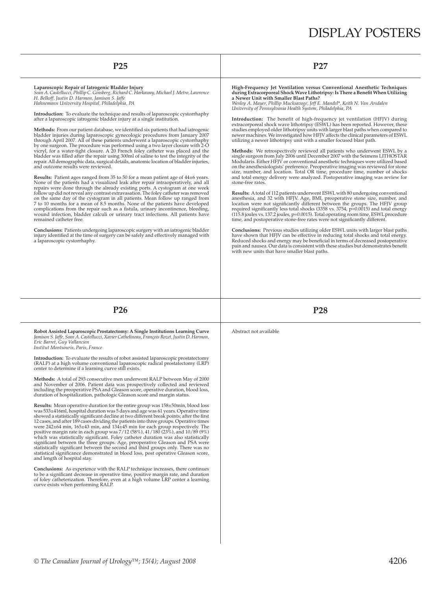| P <sub>25</sub>                                                                                                                                                                                                                                                                                                                                                                                                                                                                                                                                                                                                                                                                                                                                                                                                                                                                                                                                                                                                                                                                                                                                                                                                                                                                                                                                                                                                                                                                                                                                                                                                                                                                                                                                                                                                                                                                                                                                                                                                                           | P27                                                                                                                                                                                                                                                                                                                                                                                                                                                                                                                                                                                                                                                                                                                                                                                                                                                                                                                                                                                                                                                                                                                                                                                                                                                                                                                                                                                                                                                                                                                                                                                                                                                                                                                                                                                                                                                                                                                                                                                                                                                                                                                                                                                   |  |  |  |  |
|-------------------------------------------------------------------------------------------------------------------------------------------------------------------------------------------------------------------------------------------------------------------------------------------------------------------------------------------------------------------------------------------------------------------------------------------------------------------------------------------------------------------------------------------------------------------------------------------------------------------------------------------------------------------------------------------------------------------------------------------------------------------------------------------------------------------------------------------------------------------------------------------------------------------------------------------------------------------------------------------------------------------------------------------------------------------------------------------------------------------------------------------------------------------------------------------------------------------------------------------------------------------------------------------------------------------------------------------------------------------------------------------------------------------------------------------------------------------------------------------------------------------------------------------------------------------------------------------------------------------------------------------------------------------------------------------------------------------------------------------------------------------------------------------------------------------------------------------------------------------------------------------------------------------------------------------------------------------------------------------------------------------------------------------|---------------------------------------------------------------------------------------------------------------------------------------------------------------------------------------------------------------------------------------------------------------------------------------------------------------------------------------------------------------------------------------------------------------------------------------------------------------------------------------------------------------------------------------------------------------------------------------------------------------------------------------------------------------------------------------------------------------------------------------------------------------------------------------------------------------------------------------------------------------------------------------------------------------------------------------------------------------------------------------------------------------------------------------------------------------------------------------------------------------------------------------------------------------------------------------------------------------------------------------------------------------------------------------------------------------------------------------------------------------------------------------------------------------------------------------------------------------------------------------------------------------------------------------------------------------------------------------------------------------------------------------------------------------------------------------------------------------------------------------------------------------------------------------------------------------------------------------------------------------------------------------------------------------------------------------------------------------------------------------------------------------------------------------------------------------------------------------------------------------------------------------------------------------------------------------|--|--|--|--|
| Laparoscopic Repair of Iatrogenic Bladder Injury<br>Sean A. Castellucci, Phillip C. Ginsberg, Richard C. Harkaway, Michael J. Metro, Lawrence<br>H. Belkoff, Justin D. Harmon, Jamison S. Jaffe<br>Hahnemann University Hospital, Philadelphia, PA<br><b>Introduction:</b> To evaluate the technique and results of laparoscopic cystorrhaphy<br>after a laparoscopic iatrogenic bladder injury at a single institution.<br><b>Methods:</b> From our patient database, we identified six patients that had iatrogenic<br>bladder injuries during laparoscopic gynecologic procedures from January 2007<br>through April 2007. All of these patients underwent a laparoscopic cystorrhaphy<br>by one surgeon. The procedure was performed using a two layer closure with 2-O<br>vicryl, for a water-tight closure. A 20 French foley catheter was placed and the<br>bladder was filled after the repair using 300ml of saline to test the integrity of the<br>repair. All demographic data, surgical details, anatomic location of bladder injuries,<br>and outcome results were reviewed.<br><b>Results:</b> Patient ages ranged from 35 to 50 for a mean patient age of $44\pm6$ years.<br>None of the patients had a visualized leak after repair intraoperatively, and all<br>repairs were done through the already existing ports. A cystogram at one week<br>follow up did not reveal any contrast extravasation. The foley catheter was removed<br>on the same day of the cystogram in all patients. Mean follow up ranged from<br>7 to 10 months for a mean of 8.5 months. None of the patients have developed<br>complications from the repair such as a fistula, urinary incontinence, bleeding,<br>wound infection, bladder calculi or urinary tract infections. All patients have<br>remained catheter free.<br><b>Conclusions:</b> Patients undergoing laparoscopic surgery with an iatrogenic bladder<br>injury identified at the time of surgery can be safely and effectively managed with<br>a laparoscopic cystorrhaphy. | during Extracorporeal Shock Wave Lithotripsy: Is There a Benefit When Utilizing<br>a Newer Unit with Smaller Blast Paths?<br>Wesley A. Mayer, Phillip Mucksavage, Jeff E. Mandel*, Keith N. Van Arsdalen<br>University of Pennsylvania Health System, Philadelphia, PA<br>Introduction: The benefit of high-frequency jet ventilation (HFJV) during<br>extracorporeal shock wave lithotripsy (ESWL) has been reported. However, these<br>studies employed older lithotripsy units with larger blast paths when compared to<br>newer machines. We investigated how HFJV affects the clinical parameters of ESWL<br>utilizing a newer lithotripsy unit with a smaller focused blast path.<br><b>Methods:</b> We retrospectively reviewed all patients who underwent ESWL by a<br>single surgeon from July 2006 until December 2007 with the Seimens LITHOSTAR<br>Modularis. Either HFJV or conventional anesthetic techniques were utilized based<br>on the anesthesiologists' preference. Preoperative imaging was reviewed for stone<br>size, number, and location. Total OR time, procedure time, number of shocks<br>and total energy delivery were analyzed. Postoperative imaging was review for<br>stone-free rates.<br><b>Results:</b> A total of 112 patients underwent ESWL with 80 undergoing conventional<br>anesthesia, and 32 with HFJV. Age, BMI, preoperative stone size, number, and<br>location were not significantly different between the groups. The HFJV group<br>required significantly less total shocks $(3358 \text{ vs. } 3754, \text{ p} = 0.0015)$ and total energy<br>$(115.8)$ joules vs. 137.2 joules, $p=0.0015$ ). Total operating room time, ESWL procedure<br>time, and postoperative stone-free rates were not significantly different.<br><b>Conclusions:</b> Previous studies utilizing older ESWL units with larger blast paths<br>have shown that HFJV can be effective in reducing total shocks and total energy.<br>Reduced shocks and energy may be beneficial in terms of decreased postoperative<br>pain and nausea. Our data is consistent with these studies but demonstrates benefit<br>with new units that have smaller blast paths. |  |  |  |  |
| P <sub>26</sub>                                                                                                                                                                                                                                                                                                                                                                                                                                                                                                                                                                                                                                                                                                                                                                                                                                                                                                                                                                                                                                                                                                                                                                                                                                                                                                                                                                                                                                                                                                                                                                                                                                                                                                                                                                                                                                                                                                                                                                                                                           | P <sub>28</sub>                                                                                                                                                                                                                                                                                                                                                                                                                                                                                                                                                                                                                                                                                                                                                                                                                                                                                                                                                                                                                                                                                                                                                                                                                                                                                                                                                                                                                                                                                                                                                                                                                                                                                                                                                                                                                                                                                                                                                                                                                                                                                                                                                                       |  |  |  |  |
| Robot Assisted Laparoscopic Prostatectomy: A Single Institutions Learning Curve<br>Jamison S. Jaffe, Sean A. Castellucci, Xavier Cathelineau, François Rozet, Justin D. Harmon,<br>Eric Barret, Guy Vallancien<br>Institut Montsouris, Paris, France                                                                                                                                                                                                                                                                                                                                                                                                                                                                                                                                                                                                                                                                                                                                                                                                                                                                                                                                                                                                                                                                                                                                                                                                                                                                                                                                                                                                                                                                                                                                                                                                                                                                                                                                                                                      | Abstract not available                                                                                                                                                                                                                                                                                                                                                                                                                                                                                                                                                                                                                                                                                                                                                                                                                                                                                                                                                                                                                                                                                                                                                                                                                                                                                                                                                                                                                                                                                                                                                                                                                                                                                                                                                                                                                                                                                                                                                                                                                                                                                                                                                                |  |  |  |  |
| <b>Introduction:</b> To evaluate the results of robot assisted laparoscopic prostatectomy<br>(RALP) at a high volume conventional laparoscopic radical prostatectomy (LRP)<br>center to determine if a learning curve still exists.                                                                                                                                                                                                                                                                                                                                                                                                                                                                                                                                                                                                                                                                                                                                                                                                                                                                                                                                                                                                                                                                                                                                                                                                                                                                                                                                                                                                                                                                                                                                                                                                                                                                                                                                                                                                       |                                                                                                                                                                                                                                                                                                                                                                                                                                                                                                                                                                                                                                                                                                                                                                                                                                                                                                                                                                                                                                                                                                                                                                                                                                                                                                                                                                                                                                                                                                                                                                                                                                                                                                                                                                                                                                                                                                                                                                                                                                                                                                                                                                                       |  |  |  |  |
| Methods: A total of 293 consecutive men underwent RALP between May of 2000<br>and November of 2006. Patient data was prospectively collected and reviewed<br>including the preoperative PSA and Gleason score, operative duration, blood loss,<br>duration of hospitalization, pathologic Gleason score and margin status.                                                                                                                                                                                                                                                                                                                                                                                                                                                                                                                                                                                                                                                                                                                                                                                                                                                                                                                                                                                                                                                                                                                                                                                                                                                                                                                                                                                                                                                                                                                                                                                                                                                                                                                |                                                                                                                                                                                                                                                                                                                                                                                                                                                                                                                                                                                                                                                                                                                                                                                                                                                                                                                                                                                                                                                                                                                                                                                                                                                                                                                                                                                                                                                                                                                                                                                                                                                                                                                                                                                                                                                                                                                                                                                                                                                                                                                                                                                       |  |  |  |  |
| <b>Results:</b> Mean operative duration for the entire group was 158±50min, blood loss<br>was 533±416ml, hospital duration was 5 days and age was 61 years. Operative time<br>showed a statistically significant decline at two different break points; after the first<br>12 cases, and after 189 cases dividing the patients into three groups. Operative times<br>were $242\pm64$ min, $165\pm43$ min, and $134\pm45$ min for each group respectively. The<br>positive margin rate in each group was $7/12$ (58%), $41/180$ (23%), and $10/89$ (9%)<br>which was statistically significant. Foley catheter duration was also statistically<br>significant between the three groups. Age, preoperative Gleason and PSA were<br>statistically significant between the second and third groups only. There was no<br>statistical significance demonstrated in blood loss, post operative Gleason score,<br>and length of hospital stay.                                                                                                                                                                                                                                                                                                                                                                                                                                                                                                                                                                                                                                                                                                                                                                                                                                                                                                                                                                                                                                                                                                   |                                                                                                                                                                                                                                                                                                                                                                                                                                                                                                                                                                                                                                                                                                                                                                                                                                                                                                                                                                                                                                                                                                                                                                                                                                                                                                                                                                                                                                                                                                                                                                                                                                                                                                                                                                                                                                                                                                                                                                                                                                                                                                                                                                                       |  |  |  |  |
|                                                                                                                                                                                                                                                                                                                                                                                                                                                                                                                                                                                                                                                                                                                                                                                                                                                                                                                                                                                                                                                                                                                                                                                                                                                                                                                                                                                                                                                                                                                                                                                                                                                                                                                                                                                                                                                                                                                                                                                                                                           |                                                                                                                                                                                                                                                                                                                                                                                                                                                                                                                                                                                                                                                                                                                                                                                                                                                                                                                                                                                                                                                                                                                                                                                                                                                                                                                                                                                                                                                                                                                                                                                                                                                                                                                                                                                                                                                                                                                                                                                                                                                                                                                                                                                       |  |  |  |  |
| <b>Conclusions:</b> As experience with the RALP technique increases, there continues<br>to be a significant decrease in operative time, positive margin rate, and duration<br>of foley catheterization. Therefore, even at a high volume LRP center a learning<br>curve exists when performing RALP.                                                                                                                                                                                                                                                                                                                                                                                                                                                                                                                                                                                                                                                                                                                                                                                                                                                                                                                                                                                                                                                                                                                                                                                                                                                                                                                                                                                                                                                                                                                                                                                                                                                                                                                                      |                                                                                                                                                                                                                                                                                                                                                                                                                                                                                                                                                                                                                                                                                                                                                                                                                                                                                                                                                                                                                                                                                                                                                                                                                                                                                                                                                                                                                                                                                                                                                                                                                                                                                                                                                                                                                                                                                                                                                                                                                                                                                                                                                                                       |  |  |  |  |
|                                                                                                                                                                                                                                                                                                                                                                                                                                                                                                                                                                                                                                                                                                                                                                                                                                                                                                                                                                                                                                                                                                                                                                                                                                                                                                                                                                                                                                                                                                                                                                                                                                                                                                                                                                                                                                                                                                                                                                                                                                           |                                                                                                                                                                                                                                                                                                                                                                                                                                                                                                                                                                                                                                                                                                                                                                                                                                                                                                                                                                                                                                                                                                                                                                                                                                                                                                                                                                                                                                                                                                                                                                                                                                                                                                                                                                                                                                                                                                                                                                                                                                                                                                                                                                                       |  |  |  |  |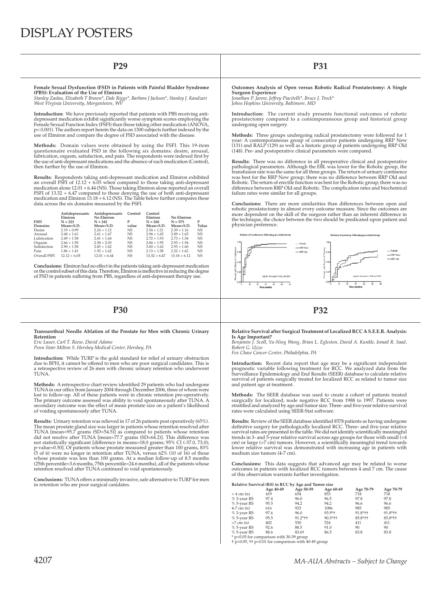**Female Sexual Dysfunction (FSD) in Patients with Painful Bladder Syndrome (PBS): Evaluation of the Use of Elmiron** 

*Stanley Zaslau, Elizabeth T Brown\*, Dale Riggs\*, Barbara J Jackson\*, Stanley J. Kandzari West Virginia University, Morgantown, WV*

**Introduction:** We have previously reported that patients with PBS receiving antidepressant medication exhibit significantly worse symptom scores employing the<br>Female Sexual Function Index (FSFI) than those taking other medication (ANOVA, p< 0.001). The authors report herein the data on 1300 subjects further indexed by the use of Elmiron and compare the degree of FSD associated with the disease.

**Methods:** Domain values were obtained by using the FSFI. This 19-item questionnaire evaluated FSD in the following six domains: desire, arousal,<br>lubrication, orgasm, satisfaction, and pain. The respondents were indexed first by<br>the use of anti-depressant medications and the absence of such m then further by the use of Elmiron.

**Results:** Respondents taking anti-depressant medication and Elmiron exhibited an overall FSFI of 12.12 + 6.05 when compared to those taking anti-depressant<br>medication alone 12.01 + 6.44 (NS). Those taking Elmiron alone reported an overall<br>FSFI of 13.32 + 6.47 compared to those denying the use of bo medication and Elmiron 13.18 + 6.12 (NS). The Table below further compares these data across the six domains measured by the FSFI.

| <b>FSFI</b>  | Antidepressants<br>Elmiron<br>$N = 223$ | Antidepressants<br>No Elmiron<br>$N = 242$ | Control<br>P | Control<br>Elmiron<br>$N = 260$ | No Elmiron<br>$N = 575$ |           |
|--------------|-----------------------------------------|--------------------------------------------|--------------|---------------------------------|-------------------------|-----------|
| Domains      | Mean+S.D.                               | Mean+S.D.                                  | value        | Mean+S.D.                       | Mean+S.D.               | Value     |
| Desire       | $2.19 + 0.99$                           | $2.24 + 1.12$                              | <b>NS</b>    | $2.54 + 1.21$                   | $2.39 + 1.16$           | <b>NS</b> |
| Arousal      | $2.68 + 1.61$                           | $2.61 + 1.67$                              | $_{\rm NS}$  | $2.94 + 1.65$                   | $2.89 + 1.65$           | <b>NS</b> |
| Lubrication  | $2.49 + 1.58$                           | $2.41 + 1.64$                              | $_{\rm NS}$  | $2.72 + 1.93$                   | $2.73 + 1.54$           | <b>NS</b> |
| Orgasm       | $2.66 + 1.90$                           | $2.58 + 2.03$                              | <b>NS</b>    | $2.84 + 1.95$                   | $2.93 + 1.94$           | <b>NS</b> |
| Satisfaction | $2.90 + 1.58$                           | $2.83 + 1.62$                              | <b>NS</b>    | $3.00 + 1.62$                   | $2.93 + 1.60$           | <b>NS</b> |
| Pain         | $1.86 + 1.41$                           | $1.92 + 1.62$                              | $_{\rm NS}$  | $2.13 + 1.58$                   | $2.22 + 1.62$           | <b>NS</b> |
| Overall FSFI | $12.12 + 6.05$                          | $12.01 + 6.44$                             | <b>NS</b>    | $13.32 + 6.47$                  | $13.18 + 6.12$          | <b>NS</b> |

**Conclusions:** Elmiron had no effect in the patients taking anti-depressant medication or the control subset of this data. Therefore, Elmiron is ineffective in reducing the degree of FSD in patients suffering from PBS, regardless of anti-depressant therapy use.

## **P30 P32**

### **Transurethral Needle Ablation of the Prostate for Men with Chronic Urinary Retention**

*Eric Lauer, Carl T. Reese, David Adams Penn State Milton S. Hershey Medical Center, Hershey, PA*

**Introduction:** While TURP is the gold standard for relief of urinary obstruction due to BPH, it cannot be offered to men who are poor surgical candidates. This is a retrospective review of 26 men with chronic urinary retention who underwent **TUNA** 

Methods: A retrospective chart review identified 29 patients who had undergone TUNA in our office from January 2004 through December 2006, three of whom were lost to follow-up. All of these patients were in chronic retention pre-operatively.<br>The primary outcome assessed was ability to void spontaneously after TUNA. A<br>secondary outcome was the effect of mean prostate size on a p of voiding spontaneously after TUNA.

**Results:** Urinary retention was relieved in 17 of 26 patients post operatively (65%). The mean prostate gland size was larger in patients whose retention resolved after<br>TUNA [mean=95.7 grams (SD=54.51] as compared to patients whose retention<br>did not resolve after TUNA [mean=77.7 grams (SD=64.2)]. This diffe not statistically significant [difference in means=18.0 grams; 95% CI (-37.0, 73.0);<br>p-value=0.50]. Of patients whose prostate measured greater than 100 grams, 83%<br>(5 of 6) were no longer in retention after TUNA, versus 62 whose prostate was less than 100 grams. At a median follow-up of 8.5 months<br>(25th percentile=3.6 months, 75th percentile=24.6 months), all of the patients whose<br>retention resolved after TUNA continued to void spontaneously

**Conclusions:** TUNA offers a minimally invasive, safe alternative to TURP for men in retention who are poor surgical canidates.

## **P29 P31**

**Outcomes Analysis of Open versus Robotic Radical Prostatectomy: A Single Surgeon Experience**

*Jonathan P. Jarow, Jeffrey Piacitelli\*, Bruce J. Trock\* Johns Hopkins University, Baltimore, MD*

**Introduction:** The current study presents functional outcomes of robotic prostatectomy compared to a contemporaneous group and historical group undergoing open surgery.

**Methods:** Three groups undergoing radical prostatectomy were followed for 1<br>year: A contemporaneous group of consecutive patients undergoing RRP New<br>(131) and RALP (129) as well as a historic group of patients undergoing (148). Pre- and postoperative clinical parameters were compared.

**Results:** There was no difference in all preoperative clinical and postoperative pathological parameters. Although the EBL was lower for the Robotic group, the<br>transfusion rate was the same for all three groups. The return of urinary continence<br>was best for the RRP New group; there was no difference be Robotic. The return of erectile function was best for the Robotic group; there was no difference between RRP Old and Robotic. The complication rates and biochemical failure rates were similar for all groups.

**Conclusions:** There are more similarities than differences between open and robotic prostatectomy in almost every outcome measure. Since the outcomes are more dependent on the skill of the surgeon rather than an inherent difference in the technique, the choice between the two should be predicated upon patient and physician preference.



### **Relative Survival after Surgical Treatment of Localized RCC A S.E.E.R. Analysis: Is Age Important?**

*Benjamin J. Scoll, Yu-Ning Wong, Brian L. Egleston, David A. Kunkle, Ismail R. Saad, Robert G. Uzzo Fox Chase Cancer Center, Philadelphia, PA*

**Introduction:** Recent data report that age may be a significant independent<br>prognostic variable following treatment for RCC. We analyzed data from the<br>Surveillance Epidemiology and End Results (SEER) database to calculate survival of patients surgically treated for localized RCC as related to tumor size and patient age at treatment.

**Methods:** The SEER database was used to create a cohort of patients treated surgically for localized, node negative RCC from 1988 to 1997. Patients were stratified and analyzed by age and tumor size. Three- and five-year relative survival rates were calculated using SEER-Stat software.

**Results:** Review of the SEER database identified 8578 patients as having undergone definitive surgery for pathologically localized RCC. Three- and five-year relative<br>survival rates are presented in the table. We did not identify scientifically meaningful<br>trends in 3- and 5-year relative survival across a cm) or large (>7 cm) tumors. However, a scientifically meaningful trend towards lower relative survival was demonstrated with increasing age in patients with medium size tumors (4-7 cm).

**Conclusions:** This data suggests that advanced age may be related to worse outcomes in patients with localized RCC tumors between 4 and 7 cm. The cause of this observation warrants further investigation.

|                | Age 40-49                                  | Age 50-59                                                          | Age 60-69 | Age 70-79 | Age 70-79 |
|----------------|--------------------------------------------|--------------------------------------------------------------------|-----------|-----------|-----------|
| $<$ 4 cm $(n)$ | 419                                        | 654                                                                | 853       | 718       | 718       |
| % 3-year RS    | 97.4                                       | 96.0                                                               | 96.5      | 97.8      | 97.8      |
| % 5-year RS    | 95.5                                       | 94.2                                                               | 94.2      | 96.6      | 96.6      |
| $4-7$ cm $(n)$ | 616                                        | 923                                                                | 1086      | 985       | 985       |
| % 3-year RS    | 97.6                                       | 96.0                                                               | 93.9*+    | $91.8*+$  | $91.8*+$  |
| % 5-year RS    | 95.5                                       | $91.2*+$                                                           | $90.3*++$ | $85.8*++$ | $85.8*++$ |
| $>7$ cm $(n)$  | 402                                        | 530                                                                | 524       | 411       | 411       |
| % 5-year RS    | 92.6                                       | 88.5                                                               | 91.0      | 90        | 90        |
| % 5-year RS    | 88.6                                       | 83.6†                                                              | 86.5      | 83.8      | 83.8      |
|                | $*$ p<0.05 for comparison with 30-39 group |                                                                    |           |           |           |
|                |                                            | $\dagger$ p<0.05, $\dagger$ p<0.01 for comparison with 40-49 group |           |           |           |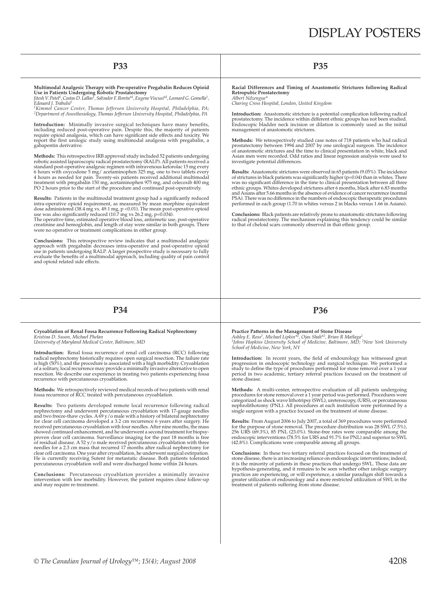Multimodal Analgesic Therapy with Pre-operative Pregabalin Reduces Opioid<br>Use in Patients Undergoing Robotic Prostatectomy<br>Jitesh V. Patel<sup>1</sup>, Costas D. Lallas<sup>1</sup>, Salvador F. Iloreta<sup>x1</sup>, Eugene Viscusi<sup>x2</sup>, Leonard G. Go

*2Department of Anesthesiology, Thomas Jefferson University Hospital, Philadelphia, PA*

**Introduction:** Minimally invasive surgical techniques have many benefits, including reduced post-operative pain. Despite this, the majority of patients require opioid analgesia, which can have significant side effects and toxicity. We<br>report the first urologic study using multimodal analgesia with pregabalin, a gabapentin derivative.

**Methods:** This retrospective IRB approved study included 52 patients undergoing robotic assisted laparoscopic radical prostatectomy (RALP). All patients received a standard post-operative analgesic regimen with intravenous ketorolac 15 mg every 6 hours with oxycodone 5 mg/ acetaminophen 325 mg, one to two tablets every 4 hours as needed for pain. Twenty-six patients received additional multimodal treatment with pregabalin 150 mg, acetaminophen 975 mg, and celecoxib 400 mg PO 2 hours prior to the start of the procedure and continued post-operatively.

**Results:** Patients in the multimodal treatment group had a significantly reduced intra-operative opioid requirement, as measured by mean morphine equivalent dose administered (38.4 mg vs. 49.1 mg, p <0.01). The mean post

were no operative or treatment complications in either group.

**Conclusions:** This retrospective review indicates that a multimodal analgesic approach with pregabalin decreases intra-operative and post-operative opioid use in patients undergoing RALP. A larger prospective study is necessary to fully<br>evaluate the benefits of a multimodal approach, including quality of pain control and opioid related side effects.

## **P33 P35**

**Racial Differences and Timing of Anastomotic Strictures following Radical Retropubic Prostatectomy** *Albert Ndzengue\** 

*Charing Cross Hospital, London, United Kingdom*

**Introduction:** Anastomotic stricture is a potential complication following radical prostatectomy. The incidence within different ethnic groups has not been studied. Endoscopic bladder neck incision or dilation is commonly used as the initial management of anastomotic strictures.

**Methods:** We retrospectively studied case notes of 718 patients who had radical prostatectomy between 1994 and 2007 by one urological surgeon. The incidence of anastomotic strictures and the time to clinical presentation in white, black and Asian men were recorded. Odd ratios and linear regression analysis were used to investigate potential differences.

**Results:** Anastomotic strictures were observed in 65 patients (9.05%). The incidence<br>of strictures in black patients was significantly higher (p=0.04) than in whites. There was no significant difference in the time to clinical presentation between all three ethnic groups. Whites developed strictures after 6 months, black after 6.83 months and Asians after 5.66 months in the absence of evidence of cancer recurrence (normal PSA). There was no difference in the numbers of endoscopic therapeutic procedures performed in each group (1.70 in whites versus 2 in blacks versus 1.66 in Asians).

**Conclusions:** Black patients are relatively prone to anastomotic strictures following<br>radical prostatectomy. The mechanism explaining this tendency could be similar<br>to that of cheloid scars commonly observed in that ethni

## **P34 P36**

### **Cryoablation of Renal Fossa Recurrence Following Radical Nephrectomy** *Kristina D. Suson, Michael Phelan*

*University of Maryland Medical Center, Baltimore, MD*

**Introduction:** Renal fossa recurrence of renal cell carcinoma (RCC) following radical nephrectomy historically requires open surgical resection. The failure rate is high (50%), and the procedure is associated with a high morbidity. Cryoablation of a solitary, local recurrence may provide a minimally invasive alternative to open resection. We describe our experience in treating two patients experiencing fossa recurrence with percutaneous cryoablation.

**Methods:** We retrospectively reviewed medical records of two patients with renal fossa recurrence of RCC treated with percutaneous cryoablation.

**Results:** Two patients developed remote local recurrence following radical nephrectomy and underwent percutaneous cryoablation with 17-gauge needles and two freeze-thaw cycles. A 69 y/o male with a history of bilateral nephrectomy for clear cell carcinoma developed a 3.2 cm recurrence 6 years after surgery. He received percutaneous cryoablation with four needles. After nine months, the mass showed continued enhancement, and he underwent a second treatment for biopsyproven clear cell carcinoma. Surveillance imaging for the past 18 months is free of residual disease. A 52 y/o male received percutaneous cryoablation with three needles for a 2.3 cm mass that recurred 17 months after radical nephrectomy for clear cell carcinoma. One year after cryoablation, he underwent surgical extirpation. He is currently receiving Sutent for metastatic disease. Both patients tolerated percutaneous cryoablation well and were discharged home within 24 hours.

**Conclusions:** Percutaneous cryoablation provides a minimally invasive intervention with low morbidity. However, the patient requires close follow-up and may require re-treatment.

**Practice Patterns in the Management of Stone Disease** *Ashley E. Ross1, Michael Lipkin\*2, Ojas Shah\*2, Brian R Matlaga1 1Johns Hopkins University School of Medicine, Baltimore, MD; 2New York University School of Medicine, New York, NY*

Introduction: In recent years, the field of endourology has witnessed great progression in endoscopic technology and surgical technique. We performed a<br>study to define the type of procedures performed for stone removal over a 1 year period in two academic, tertiary referral practices focused on the treatment of stone disease.

**Methods:** A multi-center, retrospective evaluation of all patients undergoing procedures for stone removal over a 1 year period was performed. Procedures were<br>categorized as shock wave lithotripsy (SWL), ureteroscopy, (URS), or percutaneous<br>nephrolithotomy (PNL). All procedures at each institution w single surgeon with a practice focused on the treatment of stone disease.

**Results:** From August 2006 to July 2007, a total of 369 procedures were performed for the purpose of stone removal. The procedure distribution was 28 SWL (7.5%),<br>256 URS (69.3%), 85 PNL (23.0%). Stone-free rates were comparable among the<br>endoscopic interventions (78.5% for URS and 91.7% for PNL) and sup (42.8%). Complications were comparable among all groups.

**Conclusions:** In these two tertiary referral practices focused on the treatment of stone disease, there is an increasing reliance on endourologic interventions; indeed, it is the minority of patients in these practices that undergo SWL. These data are hypothesis-generating, and it remains to be seen whether other urologic surgery practices are experiencing, or will experience, a similar paradigm shift towards a greater utilization of endourology and a more restricted utilization of SWL in the treatment of patients suffering from stone disease.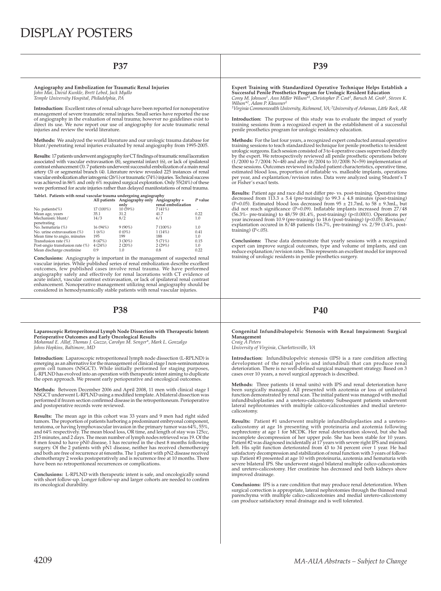| Angiography and Embolization for Traumatic Renal Injuries<br>John Mai, David Kunkle, Brett Lebed, Jack Mydlo<br>Temple University Hospital, Philadelphia, PA                                                                                                                                                                                                                                                                                                            | Expert Training with Standardized Operative Technique Helps Establish a<br>Successful Penile Prosthetics Program for Urologic Resident Education<br>Corey M. Johnson <sup>1</sup> , Ann Miller Wilson <sup>*1</sup> , Christopher P. Cost <sup>1</sup> , Baruch M. Grob <sup>1</sup> , Steven K.<br>Wilson <sup>*2</sup> , Adam P. Klausner <sup>1</sup>                                                                                                                      |  |  |  |
|-------------------------------------------------------------------------------------------------------------------------------------------------------------------------------------------------------------------------------------------------------------------------------------------------------------------------------------------------------------------------------------------------------------------------------------------------------------------------|-------------------------------------------------------------------------------------------------------------------------------------------------------------------------------------------------------------------------------------------------------------------------------------------------------------------------------------------------------------------------------------------------------------------------------------------------------------------------------|--|--|--|
| Introduction: Excellent rates of renal salvage have been reported for nonoperative<br>management of severe traumatic renal injuries. Small series have reported the use                                                                                                                                                                                                                                                                                                 | <sup>1</sup> Virginia Commonwealth University, Richmond, VA; <sup>2</sup> University of Arkansas, Little Rock, AR                                                                                                                                                                                                                                                                                                                                                             |  |  |  |
| of angiography in the evaluation of renal trauma; however no guidelines exist to<br>direct its use. We now report our use of angiography for acute traumatic renal<br>injuries and review the world literature.                                                                                                                                                                                                                                                         | Introduction: The purpose of this study was to evaluate the impact of yearly<br>training sessions from a recognized expert in the establishment of a successful<br>penile prosthetics program for urologic residency education.                                                                                                                                                                                                                                               |  |  |  |
| <b>Methods:</b> We analyzed the world literature and our urologic trauma database for<br>blunt/penetrating renal injuries evaluated by renal angiography from 1995-2005.                                                                                                                                                                                                                                                                                                | <b>Methods:</b> For the last four years, a recognized expert conducted annual operative<br>training sessions to teach standardized technique for penile prosthetics to resident<br>urologic surgeons. Each session consisted of 3 to 4 operative cases supervised directly                                                                                                                                                                                                    |  |  |  |
| Results: 17 patients underwent angiography for CT findings of traumatic renal laceration<br>associated with vascular extravasation (8), segmental infarct (6), or lack of ipsilateral<br>contrast enhancement (3). 7 patients underwent successful embolization of a main renal<br>artery (3) or segmental branch (4). Literature review revealed 225 instances of renal<br>vascular embolization after iatrogenic (26%) or traumatic (74%) injuries. Technical success | by the expert. We retrospectively reviewed all penile prosthetic operations before<br>$(1/2000 \text{ to } 7/2004 \text{ : } N=48)$ and after $(8/2004 \text{ to } 10/2008 \text{ : } N=59)$ implementation of<br>these sessions. Outcomes reviewed included patient characteristics, operative time,<br>estimated blood loss, proportion of inflatable vs. malleable implants, operations<br>per year, and explantation/revision rates. Data were analyzed using Student's T |  |  |  |
| was achieved in 86% and only 6% required surgical exploration. Only 55(24%) of these                                                                                                                                                                                                                                                                                                                                                                                    | or Fisher's exact tests.                                                                                                                                                                                                                                                                                                                                                                                                                                                      |  |  |  |

**Results:** Patient age and race did not differ pre- vs. post-training. Operative time decreased from 113.3 ± 5.4 (pre-training) to 99.3 ± 4.8 minutes (post-training)<br>(P=0.05). Estimated blood loss decreased from 95 ± 21.7mL to 58 ± 9.3mL, but<br>did not reach significance (P=0.09). Inflatable implants increase (56.3%- pre-training) to 48/59 (81.4%, post-training) (p<0.0001). Operations per<br>year increased from 10.9 (pre-training) to 18.6 (post-training) (p<0.05). Revision/<br>explantation occured in 8/48 patients (16.7%, pre-trainin training) (P<.05).

**Conclusions:** These data demonstrate that yearly sessions with a recognized expert can improve surgical outcomes, type and volume of implants, and can reduce explanation/revision rates. This represents an excellent model for improved training of urologic residents in penile prosthetics surgery.

## **P38 P40**

### **Congenital Infundibulopelvic Stenosis with Renal Impairment: Surgical Management** *Craig A Peters*

*University of Virginia, Charlottesville, VA*

**Introduction:** Infundibulopelvic stenosis (IPS) is a rare condition affecting development of the renal pelvis and infundibuli that can produce renal deterioration. There is no well-defi ned surgical management strategy. Based on 3 cases over 10 years, a novel surgical approach is described.

**Methods:** Three patients (4 renal units) with IPS and renal deterioration have been surgically managed. All presented with azotemia or loss of unilateral function demonstrated by renal scan. The initial patient was managed with medial infundibuloplasties and a uretero-calicostomy. Subsequent patients underwent lateral nephrotomies with multiple calico-calicostomies and medial ureterocalicostomy.

**Results:** Patient #1 underwent multiple infundibuloplasties and a ureterocalicostomy at age 16 presenting with proteinuria and azotemia following<br>nephrectomy at age 1 for MCDK. Her renal deterioration slowed, but she had<br>incomplete decompression of her upper pole. She has been stable for 10 yea Patient#2 was diagnosed incidentally at 17 years with severe right IPS and minimal<br>left. His split function deteriorated from 43 to 34 percent over 1 year. He had<br>satisfactory decompression and stabilization of renal funct up. Patient #3 presented at age 10 with proteinuria, azotemia and hematuria with<br>severe bilateral IPS. She underwent staged bilateral multiple calico-calicostomies<br>and uretero-calicostomy. Her creatinine has decreased and improved drainage.

**Conclusions:** IPS is a rare condition that may produce renal deterioration. When surgical correction is appropriate, lateral nephrotomies through the thinned renal<br>parenchyma with multiple calico-calicostomies and medial uretero-calicostomy<br>can produce satisfactory renal drainage and is well tolerated.

was achieved in 86% and only 6% required surgical exploration. Only 55(24%) of these were performed for acute injuries rather than delayed manifestations of renal trauma.

| Table1. Patients with renal vascular trauma undergoing angiography |           |                                                     |                    |         |  |  |  |  |
|--------------------------------------------------------------------|-----------|-----------------------------------------------------|--------------------|---------|--|--|--|--|
|                                                                    |           | All patients Angiography only Angiography +<br>only | renal embolization | P value |  |  |  |  |
| No. patients $(\%)$                                                | 17 (100%) | 10 (59%)                                            | 7(41%)             |         |  |  |  |  |
| Mean age, years                                                    | 35.1      | 31.2                                                | 41.7               | 0.22    |  |  |  |  |
| Mechanism: blunt/                                                  | 14/3      | 8/2                                                 | 6/1                | 1.0     |  |  |  |  |
| penetrating                                                        |           |                                                     |                    |         |  |  |  |  |
| No. hematuria (%)                                                  | 16 (94%)  | $9(90\%)$                                           | $7(100\%)$         | 1.0     |  |  |  |  |
| No. urine extravasation (%)                                        | 1(6%)     | $0(0\%)$                                            | 1(14%)             | 0.41    |  |  |  |  |
| Mean time to angio, minutes                                        | 195       | 199                                                 | 188                | 1.0     |  |  |  |  |
| Transfusion rate (%)                                               | 8 (47%)   | $3(30\%)$                                           | 5(71%)             | 0.15    |  |  |  |  |
| Post-angio transfusion rate (%)                                    | 4(24%)    | 2(20%)                                              | 2(29%)             | 1.0     |  |  |  |  |
| Mean discharge creatinine                                          | 0.9       | 1.0                                                 | 0.8                | 0.22    |  |  |  |  |

**Conclusions:** Angiography is important in the management of suspected renal vascular injuries. While published series of renal embolization describe excellent outcomes, few published cases involve renal trauma. We have performed angiography safely and effectively for renal lacerations with CT evidence of acute infarct, vascular contrast extravasation, or lack of ipsilateral renal contrast enhancement. Nonoperative management utilizing renal angiography should be considered in hemodynamically stable patients with renal vascular injuries.

Laparoscopic Retroperitoneal Lymph Node Dissection with Therapeutic Intent:<br>Perioperative Outcomes and Early Oncological Results<br>*Mohamad E. Allaf, Thomas J. Guzzo, Carolyn M. Senger\*, Mark L. Gonzalgo* 

*Johns Hopkins, Baltimore, MD*

**Introduction:** Laparoscopic retroperitoneal lymph node dissection (L-RPLND) is emerging as an alternative for the management of clinical stage I non-seminomatous<br>germ cell tumors (NSGCT). While initially performed for staging purposes,<br>L-RPLND has evolved into an operation with therapeutic inten the open approach. We present early perioperative and oncological outcomes.

**Methods:** Between December 2006 and April 2008, 11 men with clinical stage I NSGCT underwent L-RPLND using a modified template. A bilateral dissection was<br>performed if frozen section confirmed disease in the retroperitoneum. Perioperative<br>and postoperative records were reviewed.

**Results:** The mean age in this cohort was 33 years and 9 men had right sided tumors. The proportion of patients harboring a predominant embryonal component, teratoma, or having lymphovascular invasion in the primary tumor was 64%, 55%,<br>and 64% respectively. The mean blood loss, OR time, and length of stay was 125cc,<br>215 minutes, and 2 days. The mean number of lymph nodes retri 8 men found to have pN0 disease, 1 has recurred in the chest 8 months following surgery. Of the 2 patients with pN1 disease, neither has received chemotherapy and both are free of recurrence at 6months. The 1 patient with pN2 disease received chemotherapy 2 weeks postoperatively and is recurrence free at 10 months. There have been no retroperitoneal recurrences or complications.

**Conclusions:** L-RPLND with therapeutic intent is safe, and oncologically sound with short follow-up. Longer follow-up and larger cohorts are needed to confirm<br>its oncological durability.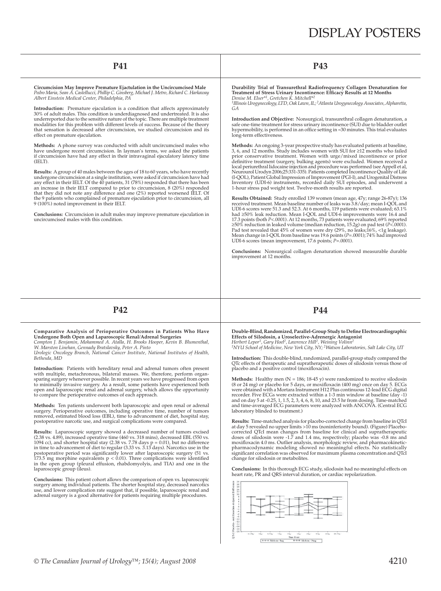| <b>P41</b>                                                                                                                                                                                                                                                                                                                                                                                                                                                                                                                                                                                                                                                                                                                                                                                                                                                                                                                                                                                                                                                                                                                                                                                                                                                                                                                                                                                                                                                                                                                                                                                                                                                                                            | <b>P43</b>                                                                                                                                                                                                                                                                                                                                                                                                                                                                                                                                                                                                                                                                                                                                                                                                                                                                                                                                                                                                                                                                                                                                                                                                                                                                                                                                                                                                                                                                                                                                                                                                                                                                                                                                                                                                                                                                                                                                                                                                                                                                                                                                                                                                                                                                                       |
|-------------------------------------------------------------------------------------------------------------------------------------------------------------------------------------------------------------------------------------------------------------------------------------------------------------------------------------------------------------------------------------------------------------------------------------------------------------------------------------------------------------------------------------------------------------------------------------------------------------------------------------------------------------------------------------------------------------------------------------------------------------------------------------------------------------------------------------------------------------------------------------------------------------------------------------------------------------------------------------------------------------------------------------------------------------------------------------------------------------------------------------------------------------------------------------------------------------------------------------------------------------------------------------------------------------------------------------------------------------------------------------------------------------------------------------------------------------------------------------------------------------------------------------------------------------------------------------------------------------------------------------------------------------------------------------------------------|--------------------------------------------------------------------------------------------------------------------------------------------------------------------------------------------------------------------------------------------------------------------------------------------------------------------------------------------------------------------------------------------------------------------------------------------------------------------------------------------------------------------------------------------------------------------------------------------------------------------------------------------------------------------------------------------------------------------------------------------------------------------------------------------------------------------------------------------------------------------------------------------------------------------------------------------------------------------------------------------------------------------------------------------------------------------------------------------------------------------------------------------------------------------------------------------------------------------------------------------------------------------------------------------------------------------------------------------------------------------------------------------------------------------------------------------------------------------------------------------------------------------------------------------------------------------------------------------------------------------------------------------------------------------------------------------------------------------------------------------------------------------------------------------------------------------------------------------------------------------------------------------------------------------------------------------------------------------------------------------------------------------------------------------------------------------------------------------------------------------------------------------------------------------------------------------------------------------------------------------------------------------------------------------------|
| Circumcision May Improve Premature Ejactulation in the Uncircumcised Male<br>Pedro Maria, Sean A. Castellucci, Phillip C. Ginsberg, Michael J. Metro, Richard C. Harkaway<br>Albert Einstein Medical Center, Philadelphia, PA<br>Introduction: Premature ejaculation is a condition that affects approximately<br>30% of adult males. This condition is underdiagnosed and undertreated. It is also<br>underreported due to the sensitive nature of the topic. There are multiple treatment<br>modalities for this problem with different levels of success. Because of the theory<br>that sensation is decreased after circumcision, we studied circumcision and its<br>effect on premature ejaculation.<br><b>Methods:</b> A phone survey was conducted with adult uncircumcised males who<br>have undergone recent circumcision. In layman's terms, we asked the patients<br>if circumcision have had any effect in their intravaginal ejaculatory latency time<br>(IELT).<br><b>Results:</b> A group of 40 males between the ages of 18 to 60 years, who have recently<br>undergone circumcision at a single institution, were asked if circumcision have had<br>any effect in their IELT. Of the 40 patients, 31 (78%) responded that there has been<br>an increase in their IELT compared to prior to circumcision, 8 (20%) responded<br>that they did not note any difference and one $(2\%)$ reported worsened IELT. Of<br>the 9 patients who complained of premature ejaculation prior to circumcision, all<br>9 (100%) noted improvement in their IELT.<br><b>Conclusions:</b> Circumcision in adult males may improve premature ejaculation in<br>uncircumcised males with this condition. | Durability Trial of Transurethral Radiofrequency Collagen Denaturation for<br>Treatment of Stress Urinary Incontinence: Efficacy Results at 12 Months<br>Denise M. Elser*1, Gretchen K. Mitchell*2<br><sup>1</sup> Illinois Urogynecology, LTD, Oak Lawn, IL; <sup>2</sup> Atlanta Urogynecology Associates, Alpharetta,<br>GА<br>Introduction and Objective: Nonsurgical, transurethral collagen denaturation, a<br>safe one-time treatment for stress urinary incontinence (SUI) due to bladder outlet<br>hypermobility, is performed in an office setting in $\approx 30$ minutes. This trial evaluates<br>long-term effectiveness.<br>Methods: An ongoing 3-year prospective study has evaluated patients at baseline,<br>3, 6, and 12 months. Study includes women with SUI for $\geq$ 12 months who failed<br>prior conservative treatment. Women with urge/mixed incontinence or prior<br>definitive treatment (surgery, bulking agents) were excluded. Women received a<br>local periurethral lidocaine injection and procedure was performed (see Appell et al.<br>Neurourol Urodyn 2006;25:331-335). Patients completed Incontinence Quality of Life<br>(I-QOL), Patient Global Impression of Improvement (PGI-I), and Urogenital Distress<br>Inventory (UDI-6) instruments, recorded daily SUI episodes, and underwent a<br>1-hour stress pad weight test. Twelve-month results are reported.<br>Results Obtained: Study enrolled 139 women (mean age, 47y; range 26-87y); 136<br>received treatment. Mean baseline number of leaks was $3.8/day$ ; mean I-QOL and<br>UDI-6 scores were 51.3 and 52.3. At 6 months, 119 patients were evaluated; $63.1\%$<br>had $\geq$ 50% leak reduction. Mean I-QOL and UDI-6 improvements were 16.4 and<br>17.3 points (both P<.0001). At 12 months, 73 patients were evaluated; 69% reported<br>$\geq$ 50% reduction in leaked volume (median reduction, 15.2g) on pad test (P<.0001).<br>Pad test revealed that 45% of women were dry (29%, no leaks; 16%, <1g leakage).<br>Mean change in I-QOL from baseline was 19.6 points ( $P = .0001$ ); 74% had improved<br>UDI-6 scores (mean improvement, 17.6 points; $P = .0001$ ).<br><b>Conclusions:</b> Nonsurgical collagen denaturation showed measurable durable<br>improvement at 12 months. |
| P <sub>42</sub>                                                                                                                                                                                                                                                                                                                                                                                                                                                                                                                                                                                                                                                                                                                                                                                                                                                                                                                                                                                                                                                                                                                                                                                                                                                                                                                                                                                                                                                                                                                                                                                                                                                                                       | <b>P44</b>                                                                                                                                                                                                                                                                                                                                                                                                                                                                                                                                                                                                                                                                                                                                                                                                                                                                                                                                                                                                                                                                                                                                                                                                                                                                                                                                                                                                                                                                                                                                                                                                                                                                                                                                                                                                                                                                                                                                                                                                                                                                                                                                                                                                                                                                                       |
| Comparative Analysis of Perioperative Outcomes in Patients Who Have<br>Undergone Both Open and Laparoscopic Renal/Adrenal Surgeries<br>Compton J. Benjamin, Mohammed A. Atalla, H. Brooks Hooper, Kevin B. Blumenthal,                                                                                                                                                                                                                                                                                                                                                                                                                                                                                                                                                                                                                                                                                                                                                                                                                                                                                                                                                                                                                                                                                                                                                                                                                                                                                                                                                                                                                                                                                | Double-Blind, Randomized, Parallel-Group Study to Define Electrocardiographic<br>Effects of Silodosin, a Uroselective-Adrenergic Antagonist<br>Herbert Lepor <sup>1</sup> , Gary Hoel <sup>2</sup> , Lawrence Hill <sup>2</sup> , Weining Volinn <sup>2</sup>                                                                                                                                                                                                                                                                                                                                                                                                                                                                                                                                                                                                                                                                                                                                                                                                                                                                                                                                                                                                                                                                                                                                                                                                                                                                                                                                                                                                                                                                                                                                                                                                                                                                                                                                                                                                                                                                                                                                                                                                                                    |

Undergone Both Open and Laparoscopic Renal/Adrenal Surgeries<br>Compton J. Benjamin, Mohammed A. Atalla, H. Brooks Hooper, Kevin B. Blumenthal,<br>W. Marston Linehan, Gennady Bratslavsky, Peter A. Pinto<br>Urologic Oncology Branch, *Bethesda, MD*

**Introduction:** Patients with hereditary renal and adrenal tumors often present with multiple, metachronous, bilateral masses. We, therefore, perform organsparing surgery whenever possible. In recent years we have progressed from open<br>to minimally invasive surgery. As a result, some patients have experienced both<br>open and laparoscopic renal and adrenal surgery, which allows to compare the perioperative outcomes of each approach.

**Methods:** Ten patients underwent both laparoscopic and open renal or adrenal surgery. Perioperative outcomes, including operative time, number of tumors removed, estimated blood loss (EBL), time to advancement of diet, hospital stay, postoperative narcotic use, and surgical complications were compared.

**Results:** Laparoscopic surgery showed a decreased number of tumors excised (2.38 vs. 4.89), increased operative time (460 vs. 318 mins), decreased EBL (550 vs. 1094 cc), and shorter hospital stay (2.38 vs. 7.78 days p = 0 173.5 mg morphine equivalents p < 0.01). Three complications were identified<br>in the open group (pleural effusion, rhabdomyolyis, and TIA) and one in the<br>laparoscopic group (ileus).

**Conclusions:** This patient cohort allows the comparison of open vs. laparoscopic surgery among individual patients. The shorter hospital stay, decreased narcotics use, and lower complication rate suggest that, if possible, laparoscopic renal and adrenal surgery is a good alternative for patients requiring multiple procedures. *1NYU School of Medicine, New York City, NY; 2Watson Laboratories, Salt Lake City, UT*

**Introduction:** This double-blind, randomized, parallel-group study compared the QTc effects of therapeutic and supratherapeutic doses of silodosin versus those of<br>placebo and a positive control (moxifloxacin).

**Methods:** Healthy men (N = 186; 18-45 y) were randomized to receive silodosin<br>(8 or 24 mg) or placebo for 5 days, or moxifloxacin (400 mg) once on day 5. ECGs<br>were obtained with a Mortara Instrument H12 Plus continuous 12 recorder. Five ECGs were extracted within a 1-3 min window at baseline (day -1)<br>and on day 5 at -0.25, 1, 1.5, 2, 3, 4, 6, 8, 10, and 23.5 hr from dosing. Time-matched<br>and time-averaged ECG parameters were analyzed with AN laboratory blinded to treatment.)

**Results:** Time-matched analysis for placebo-corrected change from baseline in QTcI at day 5 revealed no upper limits >10 ms (noninferiority bound). (Figure) Placebo-<br>corrected QTcI mean changes from baseline for clinical and supratherapeutic<br>doses of silodosin were -1.7 and 1.4 ms, respectively; placebo moxifloxacin 4.0 ms. Outlier analysis, morphologic review, and pharmacokinetic-<br>pharmacodynamic modeling showed no meaningful effects. No statistically<br>significant correlation was observed for maximum plasma concentration change for silodosin or metabolites.

**Conclusions:** In this thorough ECG study, silodosin had no meaningful effects on heart rate, PR and QRS interval duration, or cardiac repolarization.

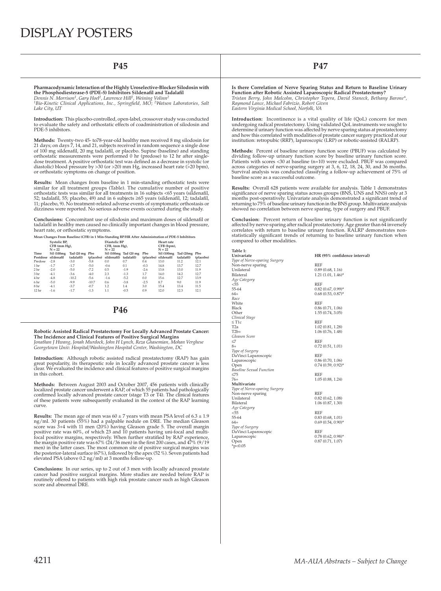| <b>P45</b>                                                                                                                                                                                   |                                                                                                                                                                                                                                                                                                                                                                                                                                                                                                                                                                                  |                                                                                                                                                                                                                                                                                                                                                                                                                                                                                                                                      |                           |                   |                               |                           |               |                                           | <b>P47</b>                              |                                                                                                                                                                                                                                                                                                                                                     |                               |                                                                                                                                                                                                                                                                                                                                                            |  |  |  |  |
|----------------------------------------------------------------------------------------------------------------------------------------------------------------------------------------------|----------------------------------------------------------------------------------------------------------------------------------------------------------------------------------------------------------------------------------------------------------------------------------------------------------------------------------------------------------------------------------------------------------------------------------------------------------------------------------------------------------------------------------------------------------------------------------|--------------------------------------------------------------------------------------------------------------------------------------------------------------------------------------------------------------------------------------------------------------------------------------------------------------------------------------------------------------------------------------------------------------------------------------------------------------------------------------------------------------------------------------|---------------------------|-------------------|-------------------------------|---------------------------|---------------|-------------------------------------------|-----------------------------------------|-----------------------------------------------------------------------------------------------------------------------------------------------------------------------------------------------------------------------------------------------------------------------------------------------------------------------------------------------------|-------------------------------|------------------------------------------------------------------------------------------------------------------------------------------------------------------------------------------------------------------------------------------------------------------------------------------------------------------------------------------------------------|--|--|--|--|
|                                                                                                                                                                                              | Pharmacodynamic Interaction of the Highly Uroselective-Blocker Silodosin with<br>the Phosphodiesterase-5 (PDE-5) Inhibitors Sildenafil and Tadalafil<br>Dennis N. Morrison <sup>1</sup> , Gary Hoel <sup>2</sup> , Lawrence Hill <sup>2</sup> , Weining Volinn <sup>2</sup><br><sup>1</sup> Bio-Kinetic Clinical Applications, Inc., Springfield, MO; <sup>2</sup> Watson Laboratories, Salt<br>Lake City, UT                                                                                                                                                                    |                                                                                                                                                                                                                                                                                                                                                                                                                                                                                                                                      |                           |                   |                               |                           |               |                                           |                                         | Is there Correlation of Nerve Sparing Status and Return to Ba<br>Function after Robotic Assisted Laparoscopic Radical Prostatec<br>Tristan Berry, John Malcolm, Christopher Tepera, David Staneck, E<br>Raymond Lance, Michael Fabrizio, Robert Given<br>Eastern Virginia Medical School, Norfolk, VA                                               |                               |                                                                                                                                                                                                                                                                                                                                                            |  |  |  |  |
| Introduction: This placebo-controlled, open-label, crossover study was conducted<br>to evaluate the safety and orthostatic effects of coadministration of silodosin and<br>PDE-5 inhibitors. |                                                                                                                                                                                                                                                                                                                                                                                                                                                                                                                                                                                  |                                                                                                                                                                                                                                                                                                                                                                                                                                                                                                                                      |                           |                   |                               |                           |               |                                           |                                         | <b>Introduction:</b> Incontinence is a vital quality of life (QoL) co<br>undergoing radical prostatectomy. Using validated QoL instrumer<br>determine if urinary function was affected by nerve sparing status a                                                                                                                                    |                               |                                                                                                                                                                                                                                                                                                                                                            |  |  |  |  |
|                                                                                                                                                                                              |                                                                                                                                                                                                                                                                                                                                                                                                                                                                                                                                                                                  |                                                                                                                                                                                                                                                                                                                                                                                                                                                                                                                                      |                           |                   |                               |                           |               |                                           |                                         |                                                                                                                                                                                                                                                                                                                                                     |                               | and how this correlated with modalities of prostate cancer surgery<br>institution: retropubic (RRP), laparoscopic (LRP) or robotic-assiste                                                                                                                                                                                                                 |  |  |  |  |
|                                                                                                                                                                                              | Methods: Twenty-two 45- to78-year-old healthy men received 8 mg silodosin for<br>21 days; on days 7, 14, and 21, subjects received in random sequence a single dose<br>of 100 mg sildenafil, 20 mg tadalafil, or placebo. Supine (baseline) and standing<br>orthostatic measurements were performed 0 hr (predose) to 12 hr after single-<br>dose treatment. A positive orthostatic test was defined as a decrease in systolic (or<br>diastolic) blood pressure by $>30$ (or $>20$ ) mm Hg, increased heart rate ( $>20$ bpm),<br>or orthostatic symptoms on change of position. |                                                                                                                                                                                                                                                                                                                                                                                                                                                                                                                                      |                           |                   |                               |                           |               |                                           | baseline score as a successful outcome. | <b>Methods:</b> Percent of baseline urinary function score (PBUF) was<br>dividing follow-up urinary function score by baseline urinary<br>Patients with scores <30 at baseline (n=10) were excluded. PBUF<br>across categories of nerve-sparing surgery at 3, 6, 12, 18, 24, 30,<br>Survival analysis was conducted classifying a follow-up achieve |                               |                                                                                                                                                                                                                                                                                                                                                            |  |  |  |  |
|                                                                                                                                                                                              |                                                                                                                                                                                                                                                                                                                                                                                                                                                                                                                                                                                  | <b>Results:</b> Mean changes from baseline in 1 min-standing orthostatic tests were<br>similar for all treatment groups (Table). The cumulative number of positive<br>orthostatic tests was similar for all treatments in 16 subjects <65 years (sildenafil,<br>52; tadalafil, 55; placebo, 49) and in 6 subjects $\geq 65$ years (sildenafil, 12; tadalafil,<br>11; placebo, 9). No treatment-related adverse events of symptomatic orthostasis or<br>dizziness were reported. No serious adverse events occurred during the study. |                           |                   |                               |                           |               |                                           |                                         |                                                                                                                                                                                                                                                                                                                                                     |                               | <b>Results:</b> Overall 628 patients were available for analysis. Table<br>significance of nerve sparing status across groups (BNS, UNS and<br>months post-operatively. Univariate analysis demonstrated a sign<br>returning to 75% of baseline urinary function in the BNS group. Mult<br>showed no correlation between nerve sparing, type of surgery an |  |  |  |  |
|                                                                                                                                                                                              |                                                                                                                                                                                                                                                                                                                                                                                                                                                                                                                                                                                  | <b>Conclusions:</b> Concomitant use of silodosin and maximum doses of sildenafil or<br>tadalafil in healthy men caused no clinically important changes in blood pressure,<br>heart rate, or orthostatic symptoms.                                                                                                                                                                                                                                                                                                                    |                           |                   |                               |                           |               |                                           |                                         |                                                                                                                                                                                                                                                                                                                                                     |                               | Conclusion: Percent return of baseline urinary function is n<br>affected by nerve-sparing after radical prostatectomy. Age greater tl<br>correlates with return to baseline urinary function. RALRP der                                                                                                                                                    |  |  |  |  |
|                                                                                                                                                                                              |                                                                                                                                                                                                                                                                                                                                                                                                                                                                                                                                                                                  | Mean Changes From Baseline (CFB) in 1 Min-Standing BP/HR After Administration of PDE-5 Inhibitors                                                                                                                                                                                                                                                                                                                                                                                                                                    |                           |                   |                               |                           |               |                                           |                                         |                                                                                                                                                                                                                                                                                                                                                     |                               | statistically significant trends of returning to baseline urinary                                                                                                                                                                                                                                                                                          |  |  |  |  |
|                                                                                                                                                                                              |                                                                                                                                                                                                                                                                                                                                                                                                                                                                                                                                                                                  | Systolic BP,<br>CFB (mm Hg),                                                                                                                                                                                                                                                                                                                                                                                                                                                                                                         |                           |                   | Diastolic BP<br>CFB, (mm Hg), |                           |               | Heart rate<br>CFB (bpm),                  |                                         |                                                                                                                                                                                                                                                                                                                                                     | compared to other modalities. |                                                                                                                                                                                                                                                                                                                                                            |  |  |  |  |
|                                                                                                                                                                                              | Time                                                                                                                                                                                                                                                                                                                                                                                                                                                                                                                                                                             | $N = 22$                                                                                                                                                                                                                                                                                                                                                                                                                                                                                                                             | Sil (100mg Tad (20 mg Pbo |                   | $N = 22$                      | Sil (100mg Tad (20 mg Pbo |               | $N = 22$<br>Sil (100mg Tad (20mg Pbo      |                                         |                                                                                                                                                                                                                                                                                                                                                     | Table 1:                      |                                                                                                                                                                                                                                                                                                                                                            |  |  |  |  |
|                                                                                                                                                                                              |                                                                                                                                                                                                                                                                                                                                                                                                                                                                                                                                                                                  | Postdose sildenafil tadalafil) (placebo) sildenafil) tadalafil)                                                                                                                                                                                                                                                                                                                                                                                                                                                                      |                           |                   |                               |                           |               | (placebo) sildenafil tadalafil) (placebo) |                                         |                                                                                                                                                                                                                                                                                                                                                     | Univariate                    | HR (95% confidence interval)                                                                                                                                                                                                                                                                                                                               |  |  |  |  |
|                                                                                                                                                                                              | Predose -2.8                                                                                                                                                                                                                                                                                                                                                                                                                                                                                                                                                                     |                                                                                                                                                                                                                                                                                                                                                                                                                                                                                                                                      | $-3.0$                    | $-5.8$            | 0.0                           | 0.7                       | 0.4           | 13.0                                      | 11.2                                    | 12.1                                                                                                                                                                                                                                                                                                                                                | Type of Nerve-sparing Surgery |                                                                                                                                                                                                                                                                                                                                                            |  |  |  |  |
|                                                                                                                                                                                              | 1 hr                                                                                                                                                                                                                                                                                                                                                                                                                                                                                                                                                                             | $-1.7$                                                                                                                                                                                                                                                                                                                                                                                                                                                                                                                               | $-1.7$                    | $-5.0$            | $-0.6$                        | 0.1                       | $-0.3$        | 14.8                                      | 13.7                                    | 12.7                                                                                                                                                                                                                                                                                                                                                | Non-nerve sparing             | <b>REF</b>                                                                                                                                                                                                                                                                                                                                                 |  |  |  |  |
|                                                                                                                                                                                              | 2 hr                                                                                                                                                                                                                                                                                                                                                                                                                                                                                                                                                                             | $-2.0$                                                                                                                                                                                                                                                                                                                                                                                                                                                                                                                               | $-5.0$                    | $-7.2$            | $0.5\,$                       | $-1.9$<br>$-1.3$          | $-2.6$<br>1.7 | 13.8                                      | 13.0                                    | 11.9                                                                                                                                                                                                                                                                                                                                                | Unilateral                    | 0.89(0.68, 1.16)                                                                                                                                                                                                                                                                                                                                           |  |  |  |  |
|                                                                                                                                                                                              | 3 hr                                                                                                                                                                                                                                                                                                                                                                                                                                                                                                                                                                             | $-4.1$                                                                                                                                                                                                                                                                                                                                                                                                                                                                                                                               | $-3.6$<br>$-10.2$         | $-4.0$            | 2.3<br>$-1.6$                 | $-5.2$                    | 0.0           | 14.0                                      | 14.2<br>12.7                            | 12.7<br>13.9                                                                                                                                                                                                                                                                                                                                        | Bilateral                     | $1.21 (1.01, 1.46)^*$                                                                                                                                                                                                                                                                                                                                      |  |  |  |  |
|                                                                                                                                                                                              | 4 hr<br>6 hr                                                                                                                                                                                                                                                                                                                                                                                                                                                                                                                                                                     | $-4.8$<br>$-5.0$                                                                                                                                                                                                                                                                                                                                                                                                                                                                                                                     | $-9.9$                    | $-5.6$<br>$-10.7$ | $0.6\,$                       | $-3.8$                    | $-2.5$        | 15.6<br>8.7                               | 9.0                                     | 11.9                                                                                                                                                                                                                                                                                                                                                | Age Category                  |                                                                                                                                                                                                                                                                                                                                                            |  |  |  |  |
|                                                                                                                                                                                              | 8 hr                                                                                                                                                                                                                                                                                                                                                                                                                                                                                                                                                                             | $-4.1$                                                                                                                                                                                                                                                                                                                                                                                                                                                                                                                               | $-3.7$                    | $-0.7$            | 1.2                           | 1.4                       | 3.0           | 15.4                                      | 13.4                                    | 11.5                                                                                                                                                                                                                                                                                                                                                | < 55                          | <b>REF</b>                                                                                                                                                                                                                                                                                                                                                 |  |  |  |  |
|                                                                                                                                                                                              | 12 <sub>hr</sub>                                                                                                                                                                                                                                                                                                                                                                                                                                                                                                                                                                 | $-1.6$                                                                                                                                                                                                                                                                                                                                                                                                                                                                                                                               | $-1.7$                    | $-1.3$            | 1.1                           | $-0.5$                    | 0.9           | 12.0                                      | 12.3                                    | 12.1                                                                                                                                                                                                                                                                                                                                                | 55-64                         | $0.82$ $(0.67, 0.99)^*$                                                                                                                                                                                                                                                                                                                                    |  |  |  |  |
|                                                                                                                                                                                              |                                                                                                                                                                                                                                                                                                                                                                                                                                                                                                                                                                                  |                                                                                                                                                                                                                                                                                                                                                                                                                                                                                                                                      |                           |                   |                               |                           |               |                                           |                                         |                                                                                                                                                                                                                                                                                                                                                     | $64+$                         | $0.68$ $(0.53, 0.87)^*$                                                                                                                                                                                                                                                                                                                                    |  |  |  |  |
|                                                                                                                                                                                              |                                                                                                                                                                                                                                                                                                                                                                                                                                                                                                                                                                                  |                                                                                                                                                                                                                                                                                                                                                                                                                                                                                                                                      |                           |                   |                               |                           |               |                                           |                                         |                                                                                                                                                                                                                                                                                                                                                     | Race                          |                                                                                                                                                                                                                                                                                                                                                            |  |  |  |  |
|                                                                                                                                                                                              |                                                                                                                                                                                                                                                                                                                                                                                                                                                                                                                                                                                  |                                                                                                                                                                                                                                                                                                                                                                                                                                                                                                                                      |                           |                   |                               |                           |               |                                           |                                         |                                                                                                                                                                                                                                                                                                                                                     | White                         | REF                                                                                                                                                                                                                                                                                                                                                        |  |  |  |  |
|                                                                                                                                                                                              |                                                                                                                                                                                                                                                                                                                                                                                                                                                                                                                                                                                  |                                                                                                                                                                                                                                                                                                                                                                                                                                                                                                                                      |                           |                   |                               |                           |               |                                           |                                         |                                                                                                                                                                                                                                                                                                                                                     | $P1_{2,2}1$                   | 0.96(0.71, 1.06)                                                                                                                                                                                                                                                                                                                                           |  |  |  |  |

### **P46**

Robotic Assisted Radical Prostatectomy For Locally Advanced Prostate Cancer:<br>The Incidence and Clinical Features of Positive Surgical Margins<br>Jonathan J Hwang, Jonah Murdock, John H Lynch, Reza Ghasemian, Mohan Verghese<br>Ge

**Introduction:** Although robotic assisted radical prostatectomy (RAP) has gain great popularity, its therapeutic role in locally advanced prostate cancer is less clear. We evaluated the incidence and clinical features of positive surgical margins in this cohort.

**Methods:** Between August 2003 and October 2007, 456 patients with clinically localized prostate cancer underwent a RAP, of which 55 patients had pathologically confirmed locally advanced prostate cancer (stage T3 or T4). The clinical features<br>of these patients were subsequently evaluated in the context of the RAP learning curve.

**Results:** The mean age of men was 60 ± 7 years with mean PSA level of 6.3 ± 1.9 ng/ml. 30 patients (55%) had a palpable nodule on DRE. The median Gleason score was 3+4 with 11 men (20%) having Gleason grade 5. The overall margin<br>positive rate was 60%, of which 23 and 10 patients having uni-focal and multi-<br>focal positive margins, respectively. When further stratified by RAP the margin positive rate was 67% (24/36 men) in the first 200 cases, and 47% (9/19<br>men) in the latter cases. The most common site of positive surgical margins was<br>the posterior-lateral surface (67%), followed by the apex ( elevated PSA (above 0.2 ng/ml) at 3 months follow-up.

**Conclusions:** In our series, up to 2 out of 3 men with locally advanced prostate cancer had positive surgical margins. More studies are needed before RAP is routinely offered to patients with high risk prostate cancer such as high Gleason score and abnormal DRE.

**Is a Seline Urinary Function after Robotic Assisted Laparoscopic Radical Prostatectomy?** *Tristan Berry, John Malcolm, Christopher Tepera, David Staneck, Bethany Barone\*,* 

**Incern** for men nts we sought to at prostatectomy and how this correlated with modalities of prostate cancer surgery practiced at our institution: retropubic (RRP), laparoscopic (LRP) or robotic-assisted (RALRP).

is calculated by function score was compared and 36 months. ment of 75% of

1 demonstrates significance controls according to the NNS) only at 3 nificant trend of rivariate analysis noon<br>d PBUF.

**Conclusion:** Percent return of baseline urinary function is not significantly<br>affected by nerve-sparing after radical prostatectomy. Age greater than 64 inversely monstrates nonfunction when

| Table 1:                        |                            |
|---------------------------------|----------------------------|
| Univariate                      | HR (95% confidence interva |
| Type of Nerve-sparing Surgery   |                            |
| Non-nerve sparing               | REF                        |
| Unilateral                      | 0.89(0.68, 1.16)           |
| Bilateral                       | $1.21(1.01, 1.46)^*$       |
| Age Category                    |                            |
| < 55                            | <b>REF</b>                 |
| 55-64                           | $0.82$ $(0.67, 0.99)$ *    |
| $64+$                           | $0.68$ $(0.53, 0.87)^*$    |
| Race                            |                            |
| White                           | <b>REF</b>                 |
| Black                           | 0.86(0.71, 1.06)           |
| Other                           | 1.55(0.74, 3.05)           |
| Clinical Stage                  |                            |
| $\leq$ T1c                      | REF                        |
| T <sub>2a</sub>                 | 1.02(0.81, 1.28)           |
| $T2h+$                          | 1.06(0.76, 1.48)           |
| Gleason Score                   |                            |
| <7                              | <b>REF</b>                 |
| $8+$                            | 0.72(0.51, 1.01)           |
| Type of Surgery                 |                            |
| DaVinci Laparoscopic            | REF                        |
| Laparoscopic                    | 0.86(0.70, 1.06)           |
| Open                            | $0.74(0.59, 0.92)$ *       |
| <b>Baseline Sexual Function</b> |                            |
| <75                             | <b>REF</b>                 |
| $76+$                           | 1.05(0.88, 1.24)           |
| Multivariate                    |                            |
| Type of Nerve-sparing Surgery   |                            |
| Non-nerve sparing               | REF                        |
| Unilateral                      | 0.82(0.62, 1.08)           |
| Bilateral                       | 1.06(0.87, 1.30)           |
| Age Category                    |                            |
| $<$ 55                          | REF                        |
| 55-64                           | 0.83(0.68, 1.01)           |
| $64+$                           | $0.69(0.54, 0.90)$ *       |
| Type of Surgery                 |                            |
| DaVinci Laparoscopic            | <b>REF</b>                 |
| Laparoscopic                    | $0.78(0.62, 0.98)^*$       |
| Open                            | 0.87(0.71, 1.07)           |
| $*p<0.05$                       |                            |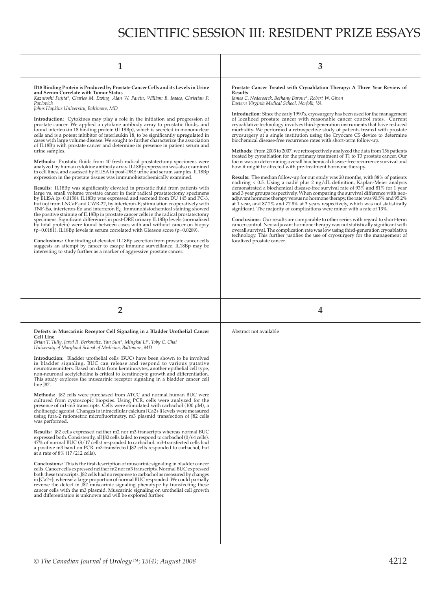| Il 18 Binding Protein is Produced by Prostate Cancer Cells and its Levels in Urine<br>and Serum Correlate with Tumor Status<br>Kazutoshi Fujita*, Charles M. Ewing, Alan W. Partin, William B. Isaacs, Christian P.<br>Pavlovich<br>Johns Hopkins University, Baltimore, MD | Prostate Cancer Treated with Cryoablation Therapy: A Three Year Review of<br><b>Results</b><br>James C. Nederostek, Bethany Barone*, Robert W. Given<br>Eastern Virginia Medical School, Norfolk, VA |  |  |
|-----------------------------------------------------------------------------------------------------------------------------------------------------------------------------------------------------------------------------------------------------------------------------|------------------------------------------------------------------------------------------------------------------------------------------------------------------------------------------------------|--|--|
|                                                                                                                                                                                                                                                                             | Introduction: Since the early 1990's cryosurgery has been used for the management                                                                                                                    |  |  |

**Introduction:** Cytokines may play a role in the initiation and progression of<br>prostate cancer. We applied a cytokine antibody array to prostatic fluids, and<br>found interleukin 18 binding protein (IL18Bp), which is secreted cells and is a potent inhibitor of interleukin 18, to be significantly upregulated in<br>cases with large volume disease. We sought to further characterize the association<br>of IL18Bp with prostate cancer and determine its pres urine samples.

Methods: Prostatic fluids from 40 fresh radical prostatectomy specimens were analyzed by human cytokine antibody array. IL18Bp expression was also examined in cell lines, and assessed by ELISA in post-DRE urine and serum samples. IL18Bp expression in the prostate tissues was immunohistochemically examined.

**Results:** IL18Bp was significantly elevated in prostatic fluid from patients with<br>large vs. small volume prostate cancer in their radical prostatectomy specimens by ELISA (p=0.0158). IL18Bp was expressed and secreted from DU 145 and PC-3,<br>but not from LNCaP and CWR-22, by interferon-É; stimulation cooperatively with<br>TNF-Éø, interferon-Éø and interferon É¿. Immunohistochemical stain the positive staining of IL18Bp in prostate cancer cells in the radical prostatectomy specimens. Significant differences in post-DRE urinary IL18Bp levels (normalized<br>by total protein) were found between cases with and without cancer on biopsy (p=0.0181). IL18Bp levels in serum correlated with Gleason score (p=0.0289).

Conclusions: Our finding of elevated IL18Bp secretion from prostate cancer cells suggests an attempt by cancer to escape immune surveillance. IL18Bp may be interesting to study further as a marker of aggressive prostate cancer.

**Introduction:** Since the early 1990's, cryosurgery has been used for the management<br>of localized prostate cancer with reasonable cancer control rates. Current<br>cryoablative technology involves third-generation instruments cryosurgery at a single institution using the Cryocare CS device to determine biochemical disease-free recurrence rates with short-term follow-up.

**Methods:** From 2003 to 2007, we retrospectively analyzed the data from 156 patients treated by cyroablation for the primary treatment of T1 to T3 prostate cancer. Our focus was on determining overall biochemical disease-free recurrence survival and how it might be affected with pre-treatment hormone therapy.

**Results:** The median follow-up for our study was 20 months, with 88% of patients nadiring < 0.5. Using a nadir plus 2 ng/dL definition, Kaplan-Meier analysis<br>demonstrated a biochemical disease-free survival rate of 93% and 81% for 1 year and 3 year groups respectively. When comparing the survival difference with neoadjuvant hormone therapy versus no hormone therapy, the rate was 90.5% and 95.2%<br>at 1 year, and 87.2% and 77.8% at 3 years respectively, which was not statistically<br>significant. The majority of complications were minor wit

**Conclusions:** Our results are comparable to other series with regard to short-term<br>cancer control. Neo-adjuvant hormone therapy was not statistically significant with<br>overall survival. The complication rate was low using technology. This further justifies the use of cryosurgery for the management of localized prostate cancer.

### **Defects in Muscarinic Receptor Cell Signaling in a Bladder Urothelial Cancer Cell Line**

*Brian T. Tully, Jared R. Berkowitz, Yan Sun\*, Mingkai Li\*, Toby C. Chai University of Maryland School of Medicine, Baltimore, MD*

**Introduction:** Bladder urothelial cells (BUC) have been shown to be involved in bladder signaling. BUC can release and respond to various putative neurotransmitters. Based on data from keratinocytes, another epithelial cell type, non-neuronal acetylcholine is critical to keratinocyte growth and differentiation. This study explores the muscarinic receptor signaling in a bladder cancer cell line **182**.

Methods: J82 cells were purchased from ATCC and normal human BUC were<br>cultured from cystoscopic biopsies. Using PCR, cells were analyzed for the<br>presence of m1-m5 transcripts. Cells were stimulated with carbachol (100 µM), cholinergic agonist. Changes in intracellular calcium [Ca2+]i levels were measured using fura-2 ratiometric microfl uorimetry. m3 plasmid transfection of J82 cells was performed.

**Results:** J82 cells expressed neither m2 nor m3 transcripts whereas normal BUC expressed both. Consistently, all J82 cells failed to respond to carbachol (0/64 cells). 47% of normal BUC (8/17 cells) responded to carbachol. m3-transfected cells had a positive m3 band on PCR. m3-transfected J82 cells responded to carbachol, but at a rate of 8% (17/212 cells).

**Conclusions:** This is the first description of muscarinic signaling in bladder cancer<br>cells. Cancer cells expressed neither m2 nor m3 transcripts. Normal BUC expressed both these transcripts. J82 cells had no response to carbachol as measured by changes<br>in [Ca2+] i whereas a large proportion of normal BUC responded. We could partially<br>reverse the defect in J82 muscarinic signaling phenot and differentiation is unknown and will be explored further.

Abstract not available

**2 4**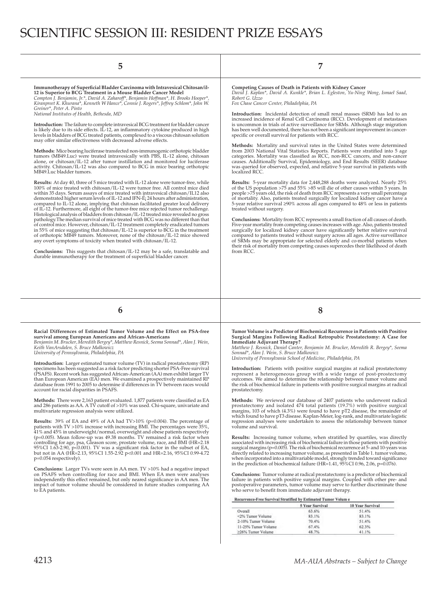# SCIENTIFIC SESSION III: RESIDENT PRIZE ESSAYS

| 5                                                                                                                                                                                                                                                                                                                                                                                                                                                                                                                                                                                                                                                                                                                                                                                                                                                                                                                                                                                                                                                           | 7                                                                                                                                                                                                                                                                                                                                                                                                                                                                                                                                                                                                                                                                                                                                                                                                                                                                                                                                                                                                                 |  |  |  |
|-------------------------------------------------------------------------------------------------------------------------------------------------------------------------------------------------------------------------------------------------------------------------------------------------------------------------------------------------------------------------------------------------------------------------------------------------------------------------------------------------------------------------------------------------------------------------------------------------------------------------------------------------------------------------------------------------------------------------------------------------------------------------------------------------------------------------------------------------------------------------------------------------------------------------------------------------------------------------------------------------------------------------------------------------------------|-------------------------------------------------------------------------------------------------------------------------------------------------------------------------------------------------------------------------------------------------------------------------------------------------------------------------------------------------------------------------------------------------------------------------------------------------------------------------------------------------------------------------------------------------------------------------------------------------------------------------------------------------------------------------------------------------------------------------------------------------------------------------------------------------------------------------------------------------------------------------------------------------------------------------------------------------------------------------------------------------------------------|--|--|--|
| Immunotherapy of Superficial Bladder Carcinoma with Intravesical Chitosan/il-<br>12 is Superior to BCG Treatment in a Mouse Bladder Cancer Model<br>Compton J. Benjamin, Jr.*, David A. Zaharoff*, Benjamin Hoffman*, H. Brooks Hooper*,<br>Kiranpreet K. Khurana*, Kenneth W Hance*, Connie J. Rogers*, Jeffrey Schlom*, John W.                                                                                                                                                                                                                                                                                                                                                                                                                                                                                                                                                                                                                                                                                                                           | Competing Causes of Death in Patients with Kidney Cancer<br>David J. Kaplan*, David A. Kunkle*, Brian L. Egleston, Yu-Ning Wong, Ismael Saad,<br>Robert G. Uzzo<br>Fox Chase Cancer Center, Philadelphia, PA                                                                                                                                                                                                                                                                                                                                                                                                                                                                                                                                                                                                                                                                                                                                                                                                      |  |  |  |
| Greiner*, Peter A. Pinto<br>National Institutes of Health, Bethesda, MD                                                                                                                                                                                                                                                                                                                                                                                                                                                                                                                                                                                                                                                                                                                                                                                                                                                                                                                                                                                     | <b>Introduction:</b> Incidental detection of small renal masses (SRM) has led to an                                                                                                                                                                                                                                                                                                                                                                                                                                                                                                                                                                                                                                                                                                                                                                                                                                                                                                                               |  |  |  |
| <b>Introduction:</b> The failure to complete intravesical BCG treatment for bladder cancer<br>is likely due to its side effects. IL-12, an inflammatory cytokine produced in high<br>levels in bladders of BCG treated patients, complexed to a viscous chitosan solution<br>may offer similar effectiveness with decreased adverse effects.                                                                                                                                                                                                                                                                                                                                                                                                                                                                                                                                                                                                                                                                                                                | increased incidence of Renal Cell Carcinoma (RCC). Development of metastases<br>is uncommon in trials of active surveillance for SRMs. Although stage migration<br>has been well documented, there has not been a significant improvement in cancer-<br>specific or overall survival for patients with RCC.                                                                                                                                                                                                                                                                                                                                                                                                                                                                                                                                                                                                                                                                                                       |  |  |  |
| <b>Methods:</b> Mice bearing luciferase transfected non-immunogenic orthotopic bladder<br>tumors (MB49.Luc) were treated intravesically with PBS, IL-12 alone, chitosan<br>alone, or chitosan/IL-12 after tumor instillation and monitored for luciferase<br>activity. Chitosan/IL-12 was also compared to BCG in mice bearing orthotopic<br>MB49.Luc bladder tumors.                                                                                                                                                                                                                                                                                                                                                                                                                                                                                                                                                                                                                                                                                       | <b>Methods:</b> Mortality and survival rates in the United States were determined<br>from 2003 National Vital Statistics Reports. Patients were stratified into 5 age<br>categories. Mortality was classified as RCC, non-RCC cancers, and non-cancer<br>causes. Additionally Survival, Epidemiology, and End Results (SEER) database<br>was queried for observed, expected, and relative 5-year survival in patients with<br>localized RCC.                                                                                                                                                                                                                                                                                                                                                                                                                                                                                                                                                                      |  |  |  |
| <b>Results:</b> At day 40, three of 5 mice treated with IL-12 alone were tumor-free, while<br>100% of mice treated with chitosan/IL-12 were tumor free. All control mice died<br>within 35 days. Serum assays of mice treated with intravesical chitosan/IL12 also<br>demonstrated higher serum levels of IL-12 and IFN-E <sub>j</sub> 24 hours after administration,<br>compared to IL-12 alone, implying that chitosan facilitated greater local delivery<br>of IL-12. Furthermore, all eight of the tumor-free mice rejected tumor rechallenge.<br>Histological analysis of bladders from chitosan/IL-12 treated mice revealed no gross<br>pathology. The median survival of mice treated with BCG was no different than that<br>of control mice. However, chitosan/IL-12 treatment completely eradicated tumors<br>in 55% of mice suggesting that chitosan/IL-12 is superior to BCG in the treatment<br>of orthotopic MB49 tumors. Moreover, none of the chitosan/IL-12 mice showed<br>any overt symptoms of toxicity when treated with chitosan/IL-12. | Results: 5-year mortality data for 2,448,288 deaths were analyzed. Nearly 25%<br>of the US population $>75$ and $55\% >85$ will die of other causes within 5 years. In<br>people >75 years old, the risk of death from RCC represents a very small percentage<br>of mortality. Also, patients treated surgically for localized kidney cancer have a<br>5-year relative survival $\geq 90\%$ across all ages compared to 48% or less in patients<br>treated without surgery.<br><b>Conclusions:</b> Mortality from RCC represents a small fraction of all causes of death.<br>Five-year mortality from competing causes increases with age. Also, patients treated<br>surgically for localized kidney cancer have significantly better relative survival<br>compared to patients treated without surgery across all ages. Active surveillance<br>of SRMs may be appropriate for selected elderly and co-morbid patients when<br>their risk of mortality from competing causes supercedes their likelihood of death |  |  |  |
| 6                                                                                                                                                                                                                                                                                                                                                                                                                                                                                                                                                                                                                                                                                                                                                                                                                                                                                                                                                                                                                                                           | 8                                                                                                                                                                                                                                                                                                                                                                                                                                                                                                                                                                                                                                                                                                                                                                                                                                                                                                                                                                                                                 |  |  |  |
|                                                                                                                                                                                                                                                                                                                                                                                                                                                                                                                                                                                                                                                                                                                                                                                                                                                                                                                                                                                                                                                             |                                                                                                                                                                                                                                                                                                                                                                                                                                                                                                                                                                                                                                                                                                                                                                                                                                                                                                                                                                                                                   |  |  |  |
| Racial Differences of Estimated Tumor Volume and the Effect on PSA-free<br>survival among European Americans and African-Americans<br>Benjamin M. Brucker, Meredith Bergey*, Matthew Resnick, Seema Sonnad*, Alan J. Wein,                                                                                                                                                                                                                                                                                                                                                                                                                                                                                                                                                                                                                                                                                                                                                                                                                                  | Tumor Volume is a Predictor of Biochemical Recurrence in Patients with Positive                                                                                                                                                                                                                                                                                                                                                                                                                                                                                                                                                                                                                                                                                                                                                                                                                                                                                                                                   |  |  |  |
| Keith Van Arsdalen, S. Bruce Malkowicz<br>University of Pennsylvania, Philadelphia, PA<br><b>Introduction:</b> Larger estimated tumor volume (TV) in radical prostatectomy (RP)                                                                                                                                                                                                                                                                                                                                                                                                                                                                                                                                                                                                                                                                                                                                                                                                                                                                             | Surgical Margins Following Radical Retropubic Prostatectomy: A Case for<br>Immediate Adjuvant Therapy?<br>Matthew J. Resnick, Daniel Canter, Benjamin M. Brucker, Meredith R. Bergey*, Seema<br>Sonnad*, Alan J. Wein, S. Bruce Malkowicz<br>University of Pennsylvania School of Medicine, Philadelphia, PA                                                                                                                                                                                                                                                                                                                                                                                                                                                                                                                                                                                                                                                                                                      |  |  |  |
| specimens has been suggested as a risk factor predicting shorter PSA-Free survival<br>(PSAFS). Recent work has suggested African-American (AA) men exhibit larger TV<br>than European American (EA) men. We examined a prospectively maintained RP<br>database from 1991 to 2005 to determine if differences in TV between races would<br>account for racial disparities in PSAFS.                                                                                                                                                                                                                                                                                                                                                                                                                                                                                                                                                                                                                                                                          | Introduction: Patients with positive surgical margins at radical prostatectomy<br>outcomes. We aimed to determine the relationship between tumor volume and<br>the risk of biochemical failure in patients with positive surgical margins at radical<br>prostatectomy.                                                                                                                                                                                                                                                                                                                                                                                                                                                                                                                                                                                                                                                                                                                                            |  |  |  |
| <b>Methods:</b> There were 2,163 patient evaluated. 1,877 patients were classified as EA<br>and 286 patients as AA. A TV cutoff of >10% was used. Chi-square, univariate and<br>multivariate regression analysis were utilized.                                                                                                                                                                                                                                                                                                                                                                                                                                                                                                                                                                                                                                                                                                                                                                                                                             | <b>Methods:</b> We reviewed our database of 2407 patients who underwent radical<br>prostatectomy and isolated 474 total patients (19.7%) with positive surgical<br>margins, $103$ of which $(4.3\%)$ were found to have pT2 disease, the remainder of                                                                                                                                                                                                                                                                                                                                                                                                                                                                                                                                                                                                                                                                                                                                                             |  |  |  |
| <b>Results:</b> 39% of EA and 49% of AA had $TV>10\%$ (p=0.004). The percentage of<br>patients with $TV > 10\%$ increase with increasing BMI. The percentages were 35%,<br>41% and 45% in underweight/normal, overweight and obese patients respectively                                                                                                                                                                                                                                                                                                                                                                                                                                                                                                                                                                                                                                                                                                                                                                                                    | which found to have pT3 disease. Kaplan-Meier, log-rank, and multivariate logistic<br>regression analyses were undertaken to assess the relationship between tumor<br>volume and survival.                                                                                                                                                                                                                                                                                                                                                                                                                                                                                                                                                                                                                                                                                                                                                                                                                        |  |  |  |
| $(p=0.005)$ . Mean follow-up was 49.38 months. TV remained a risk factor when<br>controlling for age, psa, Gleason score, prostate volume, race, and BMI (HR=2.18)<br>95%CI 1.63-2.90, p<0.001). TV was a significant risk factor in the subset of EA,<br>but not in AA (HR=2.13, 95%CI 1.55-2.92 p<0.001 and HR=2.16, 95%CI 0.99-4.72<br>p=0.054 respectively).                                                                                                                                                                                                                                                                                                                                                                                                                                                                                                                                                                                                                                                                                            | <b>Results:</b> Increasing tumor volume, when stratified by quartiles, was directly<br>associated with increasing risk of biochemical failure in those patients with positive<br>surgical margins ( $p=0.005$ ). The risk of biochemical recurrence at 5- and 10-years was<br>directly related to increasing tumor volume, as presented in Table 1. tumor volume,<br>when incorporated into a multivariable model, strongly trended toward significance                                                                                                                                                                                                                                                                                                                                                                                                                                                                                                                                                           |  |  |  |
| <b>Conclusions:</b> Larger TVs were seen in AA men. TV >10% had a negative impact<br>on PSAFS when controlling for race and BMI. When EA men were analyses<br>independently this effect remained, but only neared significance in AA men. The<br>impact of tumor volume should be considered in future studies comparing AA<br>to EA patients.                                                                                                                                                                                                                                                                                                                                                                                                                                                                                                                                                                                                                                                                                                              | in the prediction of biochemical failure $(HR=1.41, 95\%CI 0.96, 2.06, p=0.076)$ .<br><b>Conclusions:</b> Tumor volume at radical prostatectomy is a predictor of biochemical<br>failure in patients with positive surgical margins. Coupled with other pre- and<br>postoperative parameters, tumor volume may serve to further discriminate those<br>who serve to benefit from immediate adjuvant therapy.                                                                                                                                                                                                                                                                                                                                                                                                                                                                                                                                                                                                       |  |  |  |
|                                                                                                                                                                                                                                                                                                                                                                                                                                                                                                                                                                                                                                                                                                                                                                                                                                                                                                                                                                                                                                                             | represent a heterogeneous group with a wide range of post-prostectomy<br>Recurrence-Free Survival Stratified by Estimated Tumor Volum e                                                                                                                                                                                                                                                                                                                                                                                                                                                                                                                                                                                                                                                                                                                                                                                                                                                                           |  |  |  |
|                                                                                                                                                                                                                                                                                                                                                                                                                                                                                                                                                                                                                                                                                                                                                                                                                                                                                                                                                                                                                                                             | 10 Year Survival<br>5 Year Survival<br>Overall<br>51.4%<br>63.6%                                                                                                                                                                                                                                                                                                                                                                                                                                                                                                                                                                                                                                                                                                                                                                                                                                                                                                                                                  |  |  |  |
|                                                                                                                                                                                                                                                                                                                                                                                                                                                                                                                                                                                                                                                                                                                                                                                                                                                                                                                                                                                                                                                             | <2% Tumor Volume<br>83.1%<br>83.1%<br>2-10% Tumor Volume<br>70.4%<br>51.4%<br>11-25% Tumor Volume<br>67.4%<br>62.3%                                                                                                                                                                                                                                                                                                                                                                                                                                                                                                                                                                                                                                                                                                                                                                                                                                                                                               |  |  |  |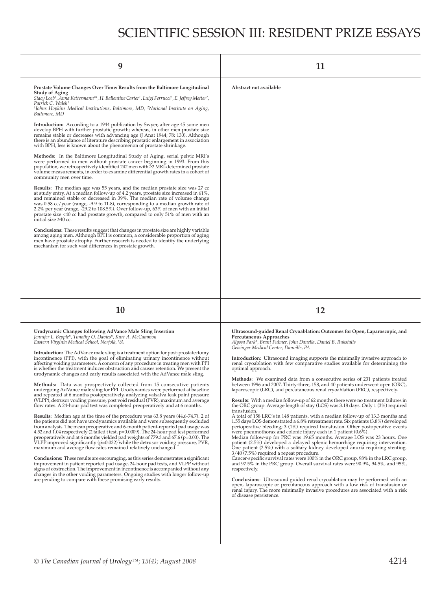# SCIENTIFIC SESSION III: RESIDENT PRIZE ESSAYS

| 11                                                                                                                                                                                                                                                                                                                                                                                                                                                                                                                                                                                                                                                                                                                                                                                                                                                                                                                                                                                                                                                                                                                                                                                                                                                                                                                                                                                                                                                                                                                                                                                                                                                                                                                                                                                                                                                                                                                                                                |
|-------------------------------------------------------------------------------------------------------------------------------------------------------------------------------------------------------------------------------------------------------------------------------------------------------------------------------------------------------------------------------------------------------------------------------------------------------------------------------------------------------------------------------------------------------------------------------------------------------------------------------------------------------------------------------------------------------------------------------------------------------------------------------------------------------------------------------------------------------------------------------------------------------------------------------------------------------------------------------------------------------------------------------------------------------------------------------------------------------------------------------------------------------------------------------------------------------------------------------------------------------------------------------------------------------------------------------------------------------------------------------------------------------------------------------------------------------------------------------------------------------------------------------------------------------------------------------------------------------------------------------------------------------------------------------------------------------------------------------------------------------------------------------------------------------------------------------------------------------------------------------------------------------------------------------------------------------------------|
| Abstract not available                                                                                                                                                                                                                                                                                                                                                                                                                                                                                                                                                                                                                                                                                                                                                                                                                                                                                                                                                                                                                                                                                                                                                                                                                                                                                                                                                                                                                                                                                                                                                                                                                                                                                                                                                                                                                                                                                                                                            |
| 12                                                                                                                                                                                                                                                                                                                                                                                                                                                                                                                                                                                                                                                                                                                                                                                                                                                                                                                                                                                                                                                                                                                                                                                                                                                                                                                                                                                                                                                                                                                                                                                                                                                                                                                                                                                                                                                                                                                                                                |
| Ultrasound-guided Renal Cryoablation: Outcomes for Open, Laparoscopic, and<br>Percutaneous Approaches<br>Alyssa Park*, Brant Fulmer, John Danella, Daniel B. Rukstalis<br>Geisinger Medical Center, Danville, PA<br>Introduction: Ultrasound imaging supports the minimally invasive approach to<br>renal cryoablation with few comparative studies available for determining the<br>optimal approach.<br>Methods: We examined data from a consecutive series of 231 patients treated<br>between 1996 and 2007. Thirty-three, 158, and 40 patients underwent open (ORC),<br>laparoscopic (LRC), and percutaneous renal cryoablation (PRC), respectively.<br><b>Results:</b> With a median follow-up of 62 months there were no treatment failures in<br>the ORC group. Average length of stay (LOS) was 3.18 days. Only 1 (3%) required<br>transfusion.<br>A total of 158 LRC's in 148 patients, with a median follow-up of 13.3 months and<br>1.55 days LOS demonstrated a 6.8% retreatment rate. Six patients (3.8%) developed<br>perioperative bleeding; $3(1\%)$ required transfusion. Other postoperative events<br>were pneumothorax and colonic injury each in 1 patient $(0.6\%)$ .<br>Median follow-up for PRC was 19.65 months. Average LOS was 23 hours. One<br>patient (2.5%) developed a delayed splenic hemorrhage requiring intervention.<br>One patient (2.5%) with a solitary kidney developed anuria requiring stenting.<br>3/40 (7.5%) required a repeat procedure.<br>Cancer-specific survival rates were 100% in the ORC group, 98% in the LRC group,<br>and 97.5% in the PRC group. Overall survival rates were 90.9%, 94.5%, and 95%,<br>respectively.<br><b>Conclusions:</b> Ultrasound guided renal cryoablation may be performed with an<br>open, laparoscopic or percutaneous approach with a low risk of transfusion or<br>renal injury. The more minimally invasive procedures are associated with a risk<br>of disease persistence. |
|                                                                                                                                                                                                                                                                                                                                                                                                                                                                                                                                                                                                                                                                                                                                                                                                                                                                                                                                                                                                                                                                                                                                                                                                                                                                                                                                                                                                                                                                                                                                                                                                                                                                                                                                                                                                                                                                                                                                                                   |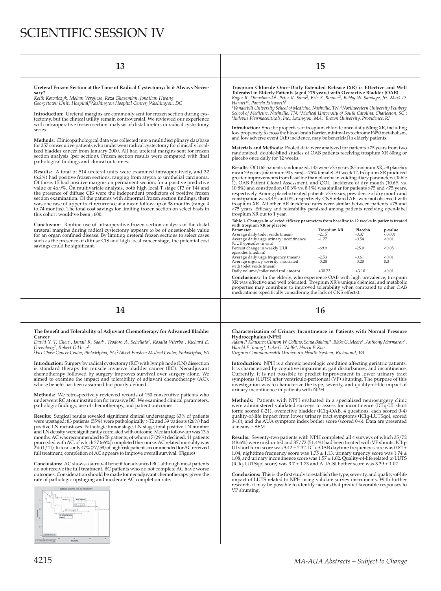# SCIENTIFIC SESSION IV

| 13                                                                                                                                                                                                                                                                                                                                                                                                                                                                                                                                                                                                                                                                                                                                                                                                                                                                                                                                                                                                                                                                                                                                                                                                                                                                                                                                                                                                                                                                                                                                                                                                                                                                 |                                                                                                                                                                                                                                                                                                                                                                                                                                                                                                                                                                                                                                                                                                                                                                                                                                                                                                                                                                                                                                                                                                                                                                                                                                                                                                                                                                                                                                                                                                                                                                                                                                                                                                                                                                                                                                                                                                                                                                                                   | 15                                                                                     |                                                                           |                                                                   |
|--------------------------------------------------------------------------------------------------------------------------------------------------------------------------------------------------------------------------------------------------------------------------------------------------------------------------------------------------------------------------------------------------------------------------------------------------------------------------------------------------------------------------------------------------------------------------------------------------------------------------------------------------------------------------------------------------------------------------------------------------------------------------------------------------------------------------------------------------------------------------------------------------------------------------------------------------------------------------------------------------------------------------------------------------------------------------------------------------------------------------------------------------------------------------------------------------------------------------------------------------------------------------------------------------------------------------------------------------------------------------------------------------------------------------------------------------------------------------------------------------------------------------------------------------------------------------------------------------------------------------------------------------------------------|---------------------------------------------------------------------------------------------------------------------------------------------------------------------------------------------------------------------------------------------------------------------------------------------------------------------------------------------------------------------------------------------------------------------------------------------------------------------------------------------------------------------------------------------------------------------------------------------------------------------------------------------------------------------------------------------------------------------------------------------------------------------------------------------------------------------------------------------------------------------------------------------------------------------------------------------------------------------------------------------------------------------------------------------------------------------------------------------------------------------------------------------------------------------------------------------------------------------------------------------------------------------------------------------------------------------------------------------------------------------------------------------------------------------------------------------------------------------------------------------------------------------------------------------------------------------------------------------------------------------------------------------------------------------------------------------------------------------------------------------------------------------------------------------------------------------------------------------------------------------------------------------------------------------------------------------------------------------------------------------------|----------------------------------------------------------------------------------------|---------------------------------------------------------------------------|-------------------------------------------------------------------|
| Ureteral Frozen Section at the Time of Radical Cystectomy: Is it Always Neces-<br>sary?<br>Keith Kowalczyk, Mohan Verghese, Reza Ghasemian, Jonathan Hwang<br>Georgetown Univ. Hospital/Washington Hospital Center, Washington, DC<br><b>Introduction:</b> Ureteral margins are commonly sent for frozen section during cys-<br>tectomy, but the clinical utility remain controversial. We reviewed our experience<br>with intraoperative frozen section analysis of distal ureters in radical cystectomy<br>series.<br>Methods: Clinicopathological data was collected into a multidisciplinary database<br>for 257 consecutive patients who underwent radical cystectomy for clinically local-<br>ized bladder cancer from January 2000. All had ureteral margins sent for frozen<br>section analysis (per section). Frozen section results were compared with final<br>pathological findings and clinical outcomes.<br><b>Results:</b> A total of 514 ureteral units were examined intraoperatively, and 32<br>(6.2%) had positive frozen sections, ranging from atypia to urothelial carcinoma.<br>Of these, 15 had positive margins on permanent section, for a positive predictive<br>value of 46.9%. On multivariate analysis, both high local T stage (T3 or T4) and<br>the presence of diffuse CIS were the independent predictors of positive frozen<br>section examination. Of the patients with abnormal frozen section findings, there<br>was one case of upper tract recurrence at a mean follow-up of 38 months (range 4<br>to 74 months). The total cost savings for limiting frozen section on select basis in<br>this cohort would've been, 600. | Trospium Chloride Once-Daily Extended Release (XR) is Effective and Well<br>Tolerated in Elderly Patients (aged ≥75 years) with Overactive Bladder (OAB)<br>Roger R. Dmochowski <sup>1</sup> , Peter K. Sand <sup>2</sup> , Eric S. Rovner <sup>3</sup> , Bobby W. Sandage, Jr <sup>4</sup> , Mark D.<br>Harnett <sup>4</sup> , Pamela Ellsworth <sup>5</sup><br><sup>1</sup> Vanderbilt University School of Medicine, Nashville, TN ; <sup>2</sup> Northwestern University Feinberg<br>School of Medicine, Nashville, TN; <sup>3</sup> Medical University of South Carolina, Charleston, SC;<br><sup>4</sup> Indevus Pharmaceuticals, Inc., Lexington, MA; <sup>5</sup> Brown University, Providence, RI<br><b>Introduction:</b> Specific properties of trospium chloride once-daily 60mg XR, including<br>low propensity to cross the blood-brain barrier, minimal cytochrome P450 metabolism,<br>and low adverse event (AE) incidence, may be beneficial in elderly patients.<br>Materials and Methods: Pooled data were analyzed for patients >75 years from two<br>randomized, double-blind studies of OAB patients receiving trospium XR 60mg or<br>placebo once daily for 12 weeks.<br>Results: Of 1165 patients randomized, 143 were >75 years (85 trospium XR, 58 placebo;<br>mean 79 years [maximum 90 years], ~75% female). At week 12, trospium XR produced<br>greater improvements from baseline than placebo in voiding diary parameters (Table<br>1), OAB Patient Global Assessment, and QOL. Incidence of dry mouth (10.6% vs.<br>$10.8\%$ ) and constipation (10.6% vs. 8.1%) was similar for patients >75 and <75 years,<br>respectively. Among placebo treated patients >75 years, prevalence of dry mouth and<br>constipation was 3.4% and 0%, respectively. CNS-related AEs were not observed with<br>trospium XR. All other AE incidence rates were similar between patients >75 and<br><75 years. Efficacy and tolerability persisted among patients receiving open-label |                                                                                        |                                                                           |                                                                   |
| Conclusion: Routine use of intraoperative frozen section analysis of the distal<br>ureteral margins during radical cystectomy appears to be of questionable value<br>for an organ confined disease. By limiting ureteral frozen sections to select cases<br>such as the presence of diffuse CIS and high local cancer stage, the potential cost<br>savings could be significant.                                                                                                                                                                                                                                                                                                                                                                                                                                                                                                                                                                                                                                                                                                                                                                                                                                                                                                                                                                                                                                                                                                                                                                                                                                                                                   | Table 1. Changes in selected efficacy parameters from baseline to 12 weeks in patients treated<br>with trospium XR or placebo<br>Parameter<br>Average daily toilet voids (mean)<br>Average daily urge urinary incontinence<br>(UUI) episodes (mean)<br>Percent change in weekly UUI<br>episodes (median)<br>Average daily urge frequency (mean)<br>Average urgency severity associated<br>with toilet voids (mean)<br>Daily volume/toilet void (mL; mean)<br>Conclusions: In the elderly, who experience OAB with high prevalence, trospium                                                                                                                                                                                                                                                                                                                                                                                                                                                                                                                                                                                                                                                                                                                                                                                                                                                                                                                                                                                                                                                                                                                                                                                                                                                                                                                                                                                                                                                       | Trospium XR<br>$-2.15$<br>$-1.77$<br>$-69.9$<br>$-2.53$<br>$-0.28$<br>$+30.73$<br>3/T1 | Placebo<br>$-0.37$<br>$-0.54$<br>$-25.0$<br>$-0.61$<br>$-0.20$<br>$+3.10$ | p-value<br>< 0.001<br>< 0.01<br>< 0.05<br>< 0.01<br>0.3<br>< 0.01 |

**Conclusions:** In the elderly, who experience OAB with high prevalence, trospium XR was effective and well tolerated. Trospium XR's unique chemical and metabolic properties may contribute to improved tolerability when compared to other OAB medications (specifically considering the lack of CNS effects).

## **14 16**

### The Benefit and Tolerability of Adjuvant Chemotherapy for Advanced Bladder **Cancer**

*David Y. T. Chen1, Ismail R. Saad1, Teodoro A. Schellato2, Rosalia Viterbo1, Richard E. Greenberg1, Robert G Uzzo1 1 Fox Chase Cancer Center, Philadelphia, PA; 2 Albert Einstein Medical Center, Philadelphia, PA*

**Introduction:** Surgery by radical cystectomy (RC) with lymph node (LN) dissection is standard therapy for muscle invasive bladder cancer (BC). Neoadjuvant chemotherapy followed by surgery improves survival over surgery alone. We

**Methods:** We retrospectively reviewed records of 150 consecutive patients who underwent RC at our institution for invasive BC. We examined clinical parameters, pathologic findings, use of chemotherapy, and patient outcomes

aimed to examine the impact and tolerability of adjuvant chemotherapy (AC), whose benefit has been assumed but poorly defined.

**Results:** Surgical results revealed significant clinical understaging: 63% of patients<br>were upstaged; 83 patients (55%) were pathologically >T2 and 39 patients (26%) had positive LN metastases. Pathologic tumor stage, LN stage, total positive LN number and LN density were signifi cantly correlated with outcome. Median follow-up was 13.6 months. AC was recommended to 58 patients, of whom 17 (29%) declined. 41 patients proceeded with AC, of which 27 (66%) completed the course. AC related mortality was 2% (1/41). In total, only 47% (27/58) of high-risk patients recommended for AC received full treatment; completion of AC appears to improve overall survival. (Figure)

**Conclusions:** AC shows a survival benefit for advanced BC, although most patients<br>do not receive the full treatment. BC patients who do not complete AC have worse outcomes. Consideration should be made for neoadjuvant chemotherapy given the rate of pathologic upstaging and moderate AC completion rate.



### **Characterization of Urinary Incontinence in Patients with Normal Pressure Hydrocephalus (NPH)**

*Adam P. Klausner, Clinton W. Collins, Sonia Bahlani\*, Blake G. Moore\*, Anthony Marmarou\*, Harold F. Young\*, Luke G. Wolfe\*, Harry P. Koo Virginia Commonwealth University Health System, Richmond, VA*

**Introduction:** NPH is a chronic neurologic condition affecting geriatric patients.<br>It is characterized by cognitive impairment, gait disturbances, and incontinence.<br>Currently, it is not possible to predict improvement in symptoms (LUTS) after ventriculo-peritoneal (VP) shunting. The purpose of this investigation was to characterize the type, severity, and quality-of-life impact of urinary incontinence in patients with NPH.

**Methods:** Patients with NPH evaluated in a specialized neurosurgery clinic were administered validated surveys to assess for incontinence (ICIq-UI short form: scored 0-21), overactive bladder (ICIq-OAB, 4 questions, each scored 0-4)<br>quality-of-life impact from lower urinary tract symptoms (ICIq-LUTSqol, scored<br>0-10), and the AUA symptom index bother score (scored 0-6). Dat a means ± SEM.

**Results:** Seventy-two patients with NPH completed all 4 surveys of which 35/72 (48.6%) were unshunted and 37/72 (51.4%) had been treated with VP shunts. ICIq-<br>UI short form score was 9.42 ± 2.32. ICIq-OAB daytime frequency score was 0.82 ±<br>1.04, nighttime frequency score was 1.75 ± 1.13, urinary urge 1.08, and urinary incontinence score was 1.57 ± 1.02. Quality-of-life related to LUTS (ICIq-LUTSqol score) was 3.7 ± 1.73 and AUA-SI bother score was 3.39 ± 1.02.

**Conclusions:** This is the first study to establish the type, severity, and quality-of-life<br>impact of LUTS related to NPH using validate survey instruments. With further<br>research, it may be possible to identify factors tha VP shunting.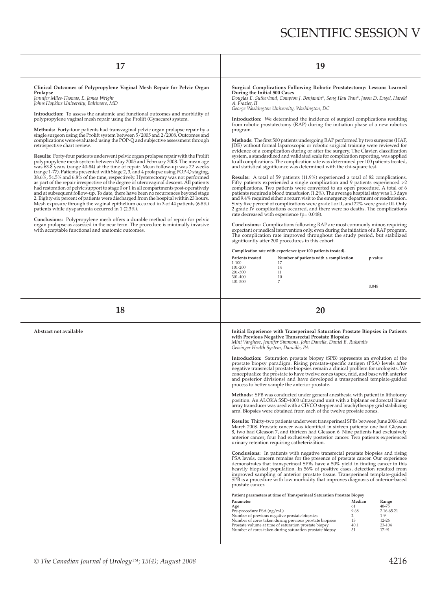| 17                                                                                                                                                                                                                                                                                                                                                                                                                                                                                                                                                                                                                                                                                                                                                                                                                                                                                                                                                                                                                                                                                                                                                                                                                                                                                                                                                                                                                                                                                                                                                                                                                                                                                                                                                                                                                     | 19                                                                                                                                                                                                                                                                                                                                                                                                                                                                                                                                                                                                                                                                                                                                                                                                                                                                                                                                                                                                                                                                                                                                                                                                                                                                                                                                                                                                                                                                                                                                                                                                                                                                                                                                                                                                                                                                                                                                                                                                                                                                                                                                                                                                                    |  |  |
|------------------------------------------------------------------------------------------------------------------------------------------------------------------------------------------------------------------------------------------------------------------------------------------------------------------------------------------------------------------------------------------------------------------------------------------------------------------------------------------------------------------------------------------------------------------------------------------------------------------------------------------------------------------------------------------------------------------------------------------------------------------------------------------------------------------------------------------------------------------------------------------------------------------------------------------------------------------------------------------------------------------------------------------------------------------------------------------------------------------------------------------------------------------------------------------------------------------------------------------------------------------------------------------------------------------------------------------------------------------------------------------------------------------------------------------------------------------------------------------------------------------------------------------------------------------------------------------------------------------------------------------------------------------------------------------------------------------------------------------------------------------------------------------------------------------------|-----------------------------------------------------------------------------------------------------------------------------------------------------------------------------------------------------------------------------------------------------------------------------------------------------------------------------------------------------------------------------------------------------------------------------------------------------------------------------------------------------------------------------------------------------------------------------------------------------------------------------------------------------------------------------------------------------------------------------------------------------------------------------------------------------------------------------------------------------------------------------------------------------------------------------------------------------------------------------------------------------------------------------------------------------------------------------------------------------------------------------------------------------------------------------------------------------------------------------------------------------------------------------------------------------------------------------------------------------------------------------------------------------------------------------------------------------------------------------------------------------------------------------------------------------------------------------------------------------------------------------------------------------------------------------------------------------------------------------------------------------------------------------------------------------------------------------------------------------------------------------------------------------------------------------------------------------------------------------------------------------------------------------------------------------------------------------------------------------------------------------------------------------------------------------------------------------------------------|--|--|
| Clinical Outcomes of Polypropylene Vaginal Mesh Repair for Pelvic Organ<br>Prolapse<br>Jennifer Miles-Thomas, E. James Wright<br>Johns Hopkins University, Baltimore, MD<br><b>Introduction:</b> To assess the anatomic and functional outcomes and morbidity of<br>polypropylene vaginal mesh repair using the Prolift (Gynecare) system.<br>Methods: Forty-four patients had transvaginal pelvic organ prolapse repair by a<br>single surgeon using the Prolift system between 5/2005 and 2/2008. Outcomes and<br>complications were evaluated using the POP-Q and subjective assessment through<br>retrospective chart review.<br><b>Results:</b> Forty-four patients underwent pelvic organ prolapse repair with the Prolift<br>polypropylene mesh system between May 2005 and February 2008. The mean age<br>was 63.8 years (range 40-84) at the time of repair. Mean follow-up was 22 weeks<br>(range 1-77). Patients presented with Stage 2, 3, and 4 prolapse using POP-Q staging,<br>38.6%, 54.5% and 6.8% of the time, respectively. Hysterectomy was not performed<br>as part of the repair irrespective of the degree of uterovaginal descent. All patients<br>had restoration of pelvic support to stage 0 or 1 in all compartments post-operatively<br>and at subsequent follow-up. To date, there have been no recurrences beyond stage<br>2. Eighty-six percent of patients were discharged from the hospital within 23 hours.<br>Mesh exposure through the vaginal epithelium occurred in 3 of 44 patients (6.8%)<br>patients while dyspareunia occurred in 1 (2.3%).<br><b>Conclusions:</b> Polypropylene mesh offers a durable method of repair for pelvic<br>organ prolapse as assessed in the near term. The procedure is minimally invasive<br>with acceptable functional and anatomic outcomes. | Surgical Complications Following Robotic Prostatectomy: Lessons Learned<br>During the Initial 500 Cases<br>Douglas E. Sutherland, Compton J. Benjamin*, Song Hau Tran*, Jason D. Engel, Harold<br>A. Frazier, II<br>George Washington University, Washington, DC<br><b>Introduction:</b> We determined the incidence of surgical complications resulting<br>from robotic prostatectomy (RAP) during the initiation phase of a new robotics<br>program.<br><b>Methods:</b> The first 500 patients undergoing RAP performed by two surgeons (HAF,<br>JDE) without formal laparoscopic or robotic surgical training were reviewed for<br>evidence of a complication during or after the surgery. The Clavien classification<br>system, a standardized and validated scale for complication reporting, was applied<br>to all complications. The complication rate was determined per 100 patients treated,<br>and statistical significance was determined with the chi-square test.<br><b>Results:</b> A total of 59 patients (11.9%) experienced a total of 82 complications.<br>Fifty patients experienced a single complication and 9 patients experienced >2<br>complications. Two patients were converted to an open procedure. A total of 6<br>patients required a blood transfusion (1.2%). The average hospital stay was 1.3 days<br>and 9.4% required either a return visit to the emergency department or readmission.<br>Sixty five percent of complications were grade I or II, and 22% were grade III. Only<br>2 grade IV complications occurred, and there were no deaths. The complications<br>rate decreased with experience ( $p = 0.048$ ).<br><b>Conclusions:</b> Complications following RAP are most commonly minor, requiring<br>expectant or medical intervention only, even during the initiation of a RAP program.<br>The complication rate improved throughout the study period, but stabilized<br>significantly after 200 procedures in this cohort.<br>Complication rate with experience (per 100 patients treated).<br>Patients treated<br>Number of patients with a complication<br>p value<br>$1 - 100$<br>-17<br>101-200<br>14<br>201-300<br>11<br>301-400<br>10<br>401-500<br>7<br>0.048 |  |  |
|                                                                                                                                                                                                                                                                                                                                                                                                                                                                                                                                                                                                                                                                                                                                                                                                                                                                                                                                                                                                                                                                                                                                                                                                                                                                                                                                                                                                                                                                                                                                                                                                                                                                                                                                                                                                                        |                                                                                                                                                                                                                                                                                                                                                                                                                                                                                                                                                                                                                                                                                                                                                                                                                                                                                                                                                                                                                                                                                                                                                                                                                                                                                                                                                                                                                                                                                                                                                                                                                                                                                                                                                                                                                                                                                                                                                                                                                                                                                                                                                                                                                       |  |  |
| 18                                                                                                                                                                                                                                                                                                                                                                                                                                                                                                                                                                                                                                                                                                                                                                                                                                                                                                                                                                                                                                                                                                                                                                                                                                                                                                                                                                                                                                                                                                                                                                                                                                                                                                                                                                                                                     | 20                                                                                                                                                                                                                                                                                                                                                                                                                                                                                                                                                                                                                                                                                                                                                                                                                                                                                                                                                                                                                                                                                                                                                                                                                                                                                                                                                                                                                                                                                                                                                                                                                                                                                                                                                                                                                                                                                                                                                                                                                                                                                                                                                                                                                    |  |  |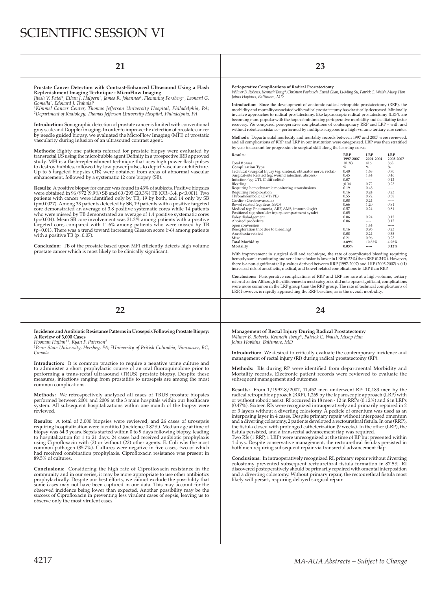# SCIENTIFIC SESSION VI

Prostate Cancer Detection with Contrast-Enhanced Ultrasound Using a Flash<br>Replenishment Imaging Technique - MicroFlow Imaging<br>Jitesh V. Patel<sup>1</sup>, Ethan J. Halpern<sup>2</sup>, James R. Johannes<sup>1</sup>, Flemming Forsberg<sup>2</sup>, Leonard G.<br>

*2Department of Radiology, Thomas Jefferson University Hospital, Philadelphia, PA*

**Introduction:** Sonographic detection of prostate cancer is limited with conventional gray scale and Doppler imaging. In order to improve the detection of prostate cancer by needle guided biopsy, we evaluated the MicroFlow Imaging (MFI) of prostatic vascularity during infusion of an ultrasound contrast agent.

**Methods:** Eighty one patients referred for prostate biopsy were evaluated by<br>transrectal US using the microbubble agent Definity in a prospective IRB approved<br>study. MFI is a flash-replenishment technique that uses high p to destroy bubbles, followed by low power pulses to depict vascular architecture.<br>Up to 6 targeted biopsies (TB) were obtained from areas of abnormal vascular<br>enhancement, followed by a systematic 12 core biopsy (SB).

**Results:** A positive biopsy for cancer was found in 43% of subjects. Positive biopsies were obtained in 96/972 (9.9%) SB and 60/295 (20.3%) TB (OR=3.4, p<0.001). Two patients with cancer were identified only by TB, 19 by both, and 14 only by SB<br>(p=0.0027). Among 33 patients detected by SB, 19 patients with a positive targeted<br>core demonstrated an average of 3.8 positive systematic core who were missed by TB demonstrated an average of 1.4 positive systematic cores<br>(p=0.004). Mean SB core involvement was 31.2% among patients with a positive<br>targeted core, compared with 11.6% among patients who were missed with a positive TB (p=0.07).

Conclusion: TB of the prostate based upon MFI efficiently detects high volume prostate cancer which is most likely to be clinically significant.

## **21 23**

**Perioperative Complications of Radical Prostatectomy**

*Wilmer B. Roberts, Kenneth Tseng\*, Christian Pavlovich, David Chan, Li-Ming Su, Patrick C. Walsh, Misop Han Johns Hopkins, Baltimore, MD*

I**ntroduction:** Since the development of anatomic radical retropubic prostatectomy (RRP), the<br>morbidity and mortality associated with radical prostatectomy has drastically decreased. Minimally<br>invasive approaches to radica becoming more popular with the hope of minimizing perioperative morbidity and facilitating faster recovery. We compared perioperative complications of contemporary RRP and LRP - with and without robotic assistance - performed by multiple surgeons in a high-volume tertiary care center.

**Methods:** Departmental morbidity and mortality records between 1997 and 2007 were reviewed,<br>and all complications of RRP and LRP in our institution were categorized. LRP was then stratified by year to account for progression in surgical skill along the learning curve.

| <b>Results:</b>                                                   | <b>RRP</b> | <b>LRP</b> | <b>LRP</b> |
|-------------------------------------------------------------------|------------|------------|------------|
|                                                                   | 1997-2007  | 2001-2004  | 2005-2007  |
| Total # cases                                                     | 10183      | 416        | 863        |
| <b>Complication Type</b>                                          | $\%$       | %          | %          |
| Technical/Surgical Injury (eg: ureteral, obturator nerve, rectal) | 0.40       | 1.68       | 0.70       |
| Surgical-site Related (eg: wound infection, abscess)              | 0.45       | 1.44       | 0.46       |
| Infection (eg: UTI, C.diff colitis)                               | 0.07       | -----      | 0.12       |
| Bleeding                                                          | :0.34      | 0.72       | 0.23       |
| Requiring hemodynamic monitoring+transfusions                     | 0.19       | 0.48       | ----       |
| Requiring reexploration                                           | 0.16       | 0.24       | 0.23       |
| Thromboembolic (DVT/PE)                                           | 0.55       | 0.72       | 0.58       |
| Cardio-/Cerebrovascular                                           | 0.08       | 0.24       | -----      |
| Bowel related (eg: ileus, SBO)                                    | 0.66       | 1.20       | 0.81       |
| Medical (eg: Pneumonia, ARF, AMS, immunologic)                    | 0.57       | 0.24       | 0.81       |
| Positional (eg: shoulder injury, compartment syndr)               | 0.05       | -----      | -----      |
| Foley dislodgement                                                | 0.06       | 0.24       | 0.12       |
| Aborted procedure                                                 | 0.06       | ----       | 0.12       |
| open conversion                                                   |            | 1.44       | -----      |
| Reexploration (not due to bleeding)                               | 0.16       | 0.96       | 0.23       |
| Anesthesia-related                                                | 0.08       | 0.24       | 0.35       |
| Misc                                                              | 0.21       | 0.96       | 0.23       |
| <b>Total Morbidity</b>                                            | 3.89%      | 10.32%     | 4.98%      |
| Mortality                                                         | 0.03%      | -----      | 0.12%      |
|                                                                   |            |            |            |

With improvement in surgical skill and technique, the rate of complicated bleeding requiring hemodynamic monitoring and serial transfusion is lower in LRP (0.23%) than RRP (0.34%). However,<br>there is a non-significant (all p-values derived between RRP (1997-2007) and LRP (2005-2007) > 0.1)<br>increased risk of anesthe

**Conclusions:** Perioperative complications of RRP and LRP are rare at a high-volume, tertiary referral center. Although the differences in most categories did not appear significant, complications<br>were more common in the LRP group than the RRP group. The rate of technical complications of<br>LRP, however, is rapidly a

**22 24**

### **Incidence and Antibiotic Resistance Patterns in Urosepsis Following Prostate Biopsy: A Review of 3,000 Cases**

*Hooman Hajian\*1, Ryan F. Paterson2*

*1Penn State University, Hershey, PA; 2University of British Columbia, Vancouver, BC, Canada*

Introduction: It is common practice to require a negative urine culture and to administer a short prophylactic course of an oral fluoroquinolone prior to performing a trans-rectal ultrasound (TRUS) prostate biopsy. Despite these measures, infections ranging from prostatitis to urosepsis are among the most common complications.

**Methods:** We retrospectively analyzed all cases of TRUS prostate biopsies<br>performed between 2001 and 2006 at the 3 main hospitals within our healthcare<br>system. All subsequent hospitalizations within one month of the biops reviewed.

**Results:** A total of 3,000 biopsies were reviewed, and 26 cases of urosepsis requiring hospitalization were identified (incidence 0.87%). Median age at time of<br>biopsy was 64.3 years. Sepsis started within 0 to 9 days following biopsy, leading<br>to hospitalization for 1 to 21 days. 24 cases had receiv using Ciprofloxacin with (2) or without (22) other agents. E. Coli was the most<br>common pathogen (85.7%). Cultures were negative in five cases, two of which<br>had received combination prophylaxis. Ciprofloxacin resistance was 89.5% of cultures.

**Conclusions:** Considering the high rate of Ciprofloxacin resistance in the community and in our series, it may be more appropriate to use other antibiotics prophylactically. Despite our best efforts, we cannot exclude the possibility that some cases may not have been captured in our data. This may account for the observed incidence being lower than expected. Another possibility may be the success of Ciprofl oxacin in preventing less virulent cases of sepsis, leaving us to observe only the most virulent cases.

**Management of Rectal Injury During Radical Prostatectomy** *Wilmer B. Roberts, Kenneth Tseng\*, Patrick C. Walsh, Misop Han Johns Hopkins, Baltimore, MD*

**Introduction:** We desired to critically evaluate the contemporary incidence and management of rectal injury (RI) during radical prostatectomy (RP).

Methods: RIs during RP were identified from departmental Morbidity and Mortality records. Electronic patient records were reviewed to evaluate the subsequent management and outcomes.

**Results:** From 1/1997-8/2007, 11,452 men underwent RP: 10,183 men by the radical retropubic approach (RRP), 1,269 by the laparoscopic approach (LRP) with or without robotic assist. RI occurred in 18 men - 12 in RRPs (0.12%) and 6 in LRPs (0.47%). Sixteen RIs were recognized intraoperatively and primarily repaired in 2 or 3 layers without a diverting colostomy. A pedicle of omentum was used as an<br>interposing layer in 4 cases. Despite primary repair without interposed omentum<br>and a diverting colostomy, 2 patients developed a rectourethral the fistula closed with prolonged catheterization (9 weeks). In the other (LRP), the<br>fistula persisted, and a transrectal advancement flap was required.<br>Two RIs (1 RRP, 1 LRP) were unrecognized at the time of RP but presen

4 days. Despite conservative management, the rectourethral fistulas persisted in both men requiring subsequent repair via transrectal advancement flap.

**Conclusions:** In intraoperatively recognized RI, primary repair without diverting<br>colostomy prevented subsequent rectourethral fistula formation in 87.5%. RI<br>discovered postoperatively should be primarily repaired with om and a diverting colostomy. Without primary repair, the rectourethral fistula most likely will persist, requiring delayed surgical repair.